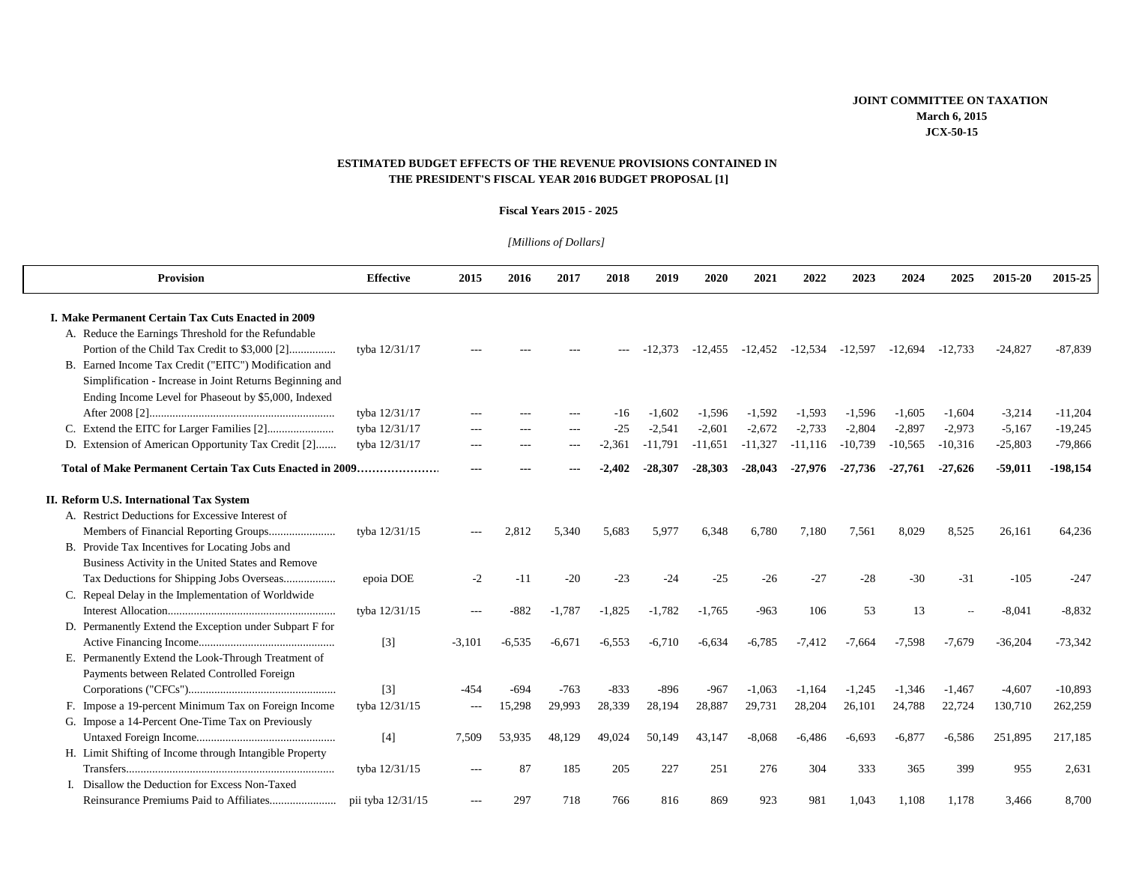# **ESTIMATED BUDGET EFFECTS OF THE REVENUE PROVISIONS CONTAINED IN THE PRESIDENT'S FISCAL YEAR 2016 BUDGET PROPOSAL [1]**

#### **Fiscal Years 2015 - 2025**

# *[Millions of Dollars]*

| <b>Provision</b>                                         | <b>Effective</b>  | 2015     | 2016     | 2017     | 2018     | 2019      | 2020      | 2021      | 2022      | 2023      | 2024      | 2025      | 2015-20   | 2015-25    |
|----------------------------------------------------------|-------------------|----------|----------|----------|----------|-----------|-----------|-----------|-----------|-----------|-----------|-----------|-----------|------------|
| I. Make Permanent Certain Tax Cuts Enacted in 2009       |                   |          |          |          |          |           |           |           |           |           |           |           |           |            |
| A. Reduce the Earnings Threshold for the Refundable      |                   |          |          |          |          |           |           |           |           |           |           |           |           |            |
| Portion of the Child Tax Credit to \$3,000 [2]           | tyba 12/31/17     |          |          |          |          | $-12.373$ | $-12.455$ | $-12.452$ | $-12,534$ | $-12.597$ | $-12.694$ | $-12.733$ | $-24,827$ | $-87,839$  |
| B. Earned Income Tax Credit ("EITC") Modification and    |                   |          |          |          |          |           |           |           |           |           |           |           |           |            |
| Simplification - Increase in Joint Returns Beginning and |                   |          |          |          |          |           |           |           |           |           |           |           |           |            |
| Ending Income Level for Phaseout by \$5,000, Indexed     |                   |          |          |          |          |           |           |           |           |           |           |           |           |            |
|                                                          | tyba 12/31/17     |          |          |          | -16      | $-1.602$  | $-1,596$  | $-1.592$  | $-1.593$  | $-1,596$  | $-1,605$  | $-1.604$  | $-3,214$  | $-11,204$  |
|                                                          | tyba 12/31/17     |          |          | ---      | $-25$    | $-2.541$  | $-2,601$  | $-2.672$  | $-2,733$  | $-2,804$  | $-2,897$  | $-2,973$  | $-5,167$  | $-19,245$  |
| D. Extension of American Opportunity Tax Credit [2]      | tyba 12/31/17     |          |          | ---      | $-2.361$ | $-11,791$ | $-11,651$ | $-11,327$ | $-11.116$ | $-10,739$ | $-10,565$ | $-10,316$ | $-25,803$ | $-79,866$  |
| Total of Make Permanent Certain Tax Cuts Enacted in 2009 |                   |          |          |          |          | $-28.307$ | $-28,303$ | $-28,043$ | $-27,976$ | $-27,736$ | $-27,761$ | $-27,626$ | $-59,011$ | $-198,154$ |
| II. Reform U.S. International Tax System                 |                   |          |          |          |          |           |           |           |           |           |           |           |           |            |
| A. Restrict Deductions for Excessive Interest of         |                   |          |          |          |          |           |           |           |           |           |           |           |           |            |
|                                                          | tyba 12/31/15     |          | 2.812    | 5.340    | 5.683    | 5.977     | 6.348     | 6.780     | 7,180     | 7,561     | 8.029     | 8,525     | 26,161    | 64,236     |
| B. Provide Tax Incentives for Locating Jobs and          |                   |          |          |          |          |           |           |           |           |           |           |           |           |            |
| Business Activity in the United States and Remove        |                   |          |          |          |          |           |           |           |           |           |           |           |           |            |
| Tax Deductions for Shipping Jobs Overseas                | epoia DOE         | $-2$     | $-11$    | $-20$    | $-23$    | $-24$     | $-25$     | $-26$     | $-27$     | $-28$     | $-30$     | $-31$     | $-105$    | $-247$     |
| C. Repeal Delay in the Implementation of Worldwide       |                   |          |          |          |          |           |           |           |           |           |           |           |           |            |
|                                                          | tyba 12/31/15     |          | $-882$   | $-1.787$ | $-1.825$ | $-1,782$  | $-1.765$  | $-963$    | 106       | 53        | 13        |           | $-8.041$  | $-8,832$   |
| D. Permanently Extend the Exception under Subpart F for  |                   |          |          |          |          |           |           |           |           |           |           |           |           |            |
|                                                          | $[3]$             | $-3,101$ | $-6.535$ | -6.671   | -6.553   | -6.710    | $-6,634$  | $-6.785$  | $-7.412$  | $-7.664$  | $-7,598$  | $-7.679$  | $-36,204$ | $-73,342$  |
| E. Permanently Extend the Look-Through Treatment of      |                   |          |          |          |          |           |           |           |           |           |           |           |           |            |
| Payments between Related Controlled Foreign              |                   |          |          |          |          |           |           |           |           |           |           |           |           |            |
|                                                          | $[3]$             | $-4.54$  | $-694$   | $-763$   | $-833$   | $-896$    | $-967$    | $-1,063$  | $-1.164$  | $-1,245$  | $-1.346$  | $-1.467$  | $-4,607$  | $-10,893$  |
| F. Impose a 19-percent Minimum Tax on Foreign Income     | tyba 12/31/15     | $---$    | 15,298   | 29,993   | 28,339   | 28,194    | 28,887    | 29,731    | 28,204    | 26,101    | 24,788    | 22,724    | 130,710   | 262,259    |
| G. Impose a 14-Percent One-Time Tax on Previously        |                   |          |          |          |          |           |           |           |           |           |           |           |           |            |
|                                                          | $[4]$             | 7.509    | 53.935   | 48.129   | 49.024   | 50.149    | 43.147    | $-8.068$  | $-6.486$  | $-6.693$  | $-6.877$  | $-6.586$  | 251.895   | 217,185    |
| H. Limit Shifting of Income through Intangible Property  |                   |          |          |          |          |           |           |           |           |           |           |           |           |            |
|                                                          | tyba 12/31/15     |          | 87       | 185      | 205      | 227       | 251       | 276       | 304       | 333       | 365       | 399       | 955       | 2,631      |
| I. Disallow the Deduction for Excess Non-Taxed           |                   |          |          |          |          |           |           |           |           |           |           |           |           |            |
|                                                          | pii tyba 12/31/15 |          | 297      | 718      | 766      | 816       | 869       | 923       | 981       | 1,043     | 1.108     | 1,178     | 3,466     | 8,700      |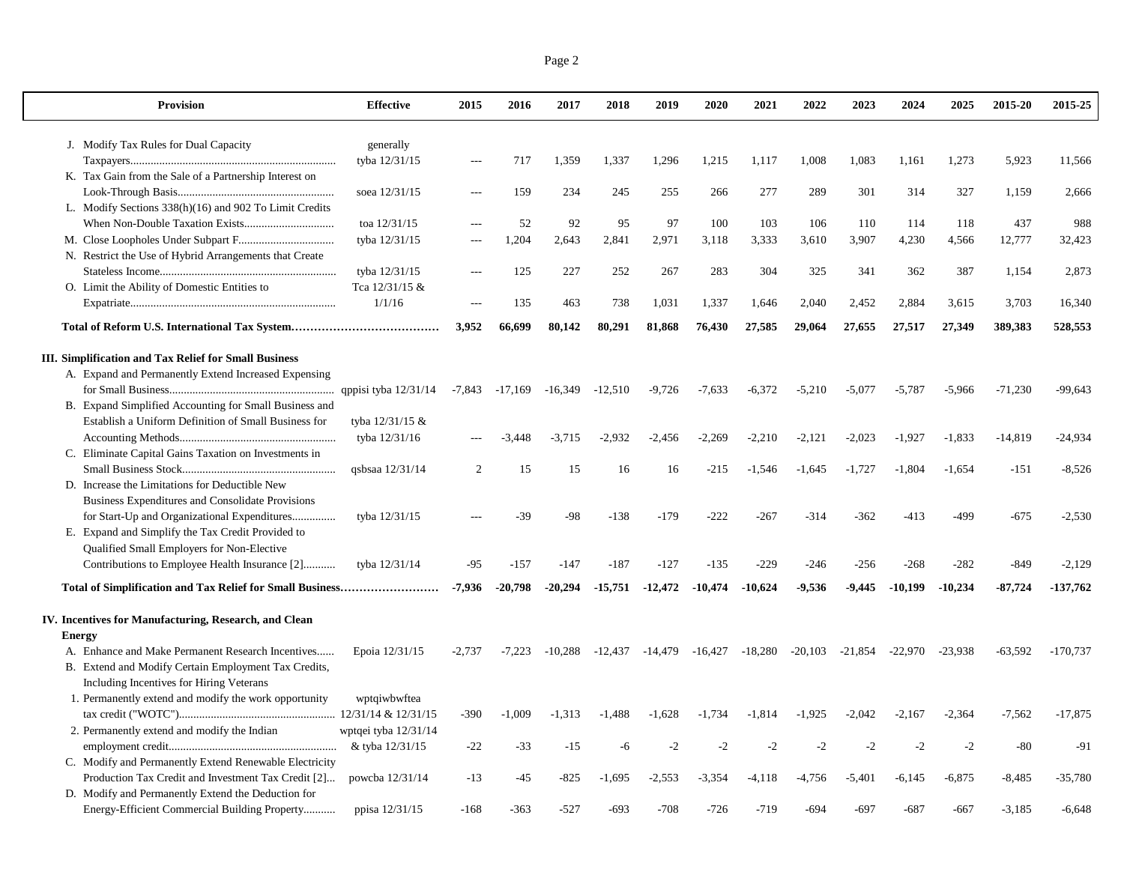| <b>Provision</b>                                       | <b>Effective</b>     | 2015     | 2016               | 2017      | 2018      | 2019      | 2020      | 2021      | 2022      | 2023      | 2024      | 2025      | 2015-20   | 2015-25    |
|--------------------------------------------------------|----------------------|----------|--------------------|-----------|-----------|-----------|-----------|-----------|-----------|-----------|-----------|-----------|-----------|------------|
| J. Modify Tax Rules for Dual Capacity                  | generally            |          |                    |           |           |           |           |           |           |           |           |           |           |            |
|                                                        | tyba 12/31/15        | $\sim$   | 717                | 1,359     | 1,337     | 1,296     | 1,215     | 1,117     | 1,008     | 1,083     | 1,161     | 1,273     | 5,923     | 11,566     |
| K. Tax Gain from the Sale of a Partnership Interest on |                      |          |                    |           |           |           |           |           |           |           |           |           |           |            |
|                                                        | soea 12/31/15        | $-$ --   | 159                | 234       | 245       | 255       | 266       | 277       | 289       | 301       | 314       | 327       | 1,159     | 2,666      |
| L. Modify Sections 338(h)(16) and 902 To Limit Credits |                      |          |                    |           |           |           |           |           |           |           |           |           |           |            |
|                                                        | toa 12/31/15         | ---      | 52                 | 92        | 95        | 97        | 100       | 103       | 106       | 110       | 114       | 118       | 437       | 988        |
|                                                        | tyba 12/31/15        | $---$    | 1,204              | 2,643     | 2,841     | 2,971     | 3,118     | 3,333     | 3,610     | 3,907     | 4,230     | 4,566     | 12,777    | 32,423     |
| N. Restrict the Use of Hybrid Arrangements that Create |                      |          |                    |           |           |           |           |           |           |           |           |           |           |            |
|                                                        | tyba 12/31/15        | $---$    | 125                | 227       | 252       | 267       | 283       | 304       | 325       | 341       | 362       | 387       | 1,154     | 2,873      |
| O. Limit the Ability of Domestic Entities to           | Tca 12/31/15 &       |          |                    |           |           |           |           |           |           |           |           |           |           |            |
|                                                        | 1/1/16               |          | 135                | 463       | 738       | 1,031     | 1,337     | 1,646     | 2,040     | 2,452     | 2,884     | 3,615     | 3,703     | 16,340     |
|                                                        |                      | 3,952    | 66,699             | 80,142    | 80,291    | 81,868    | 76,430    | 27,585    | 29,064    | 27,655    | 27,517    | 27,349    | 389,383   | 528,553    |
| III. Simplification and Tax Relief for Small Business  |                      |          |                    |           |           |           |           |           |           |           |           |           |           |            |
| A. Expand and Permanently Extend Increased Expensing   |                      |          |                    |           |           |           |           |           |           |           |           |           |           |            |
|                                                        |                      |          | $-7,843$ $-17,169$ | $-16,349$ | $-12,510$ | $-9,726$  | $-7,633$  | $-6,372$  | $-5,210$  | $-5,077$  | $-5,787$  | $-5,966$  | $-71,230$ | $-99,643$  |
| B. Expand Simplified Accounting for Small Business and |                      |          |                    |           |           |           |           |           |           |           |           |           |           |            |
| Establish a Uniform Definition of Small Business for   | tyba 12/31/15 &      |          |                    |           |           |           |           |           |           |           |           |           |           |            |
|                                                        | tyba 12/31/16        |          | $-3,448$           | $-3,715$  | $-2,932$  | $-2,456$  | $-2,269$  | $-2,210$  | $-2,121$  | $-2,023$  | $-1,927$  | $-1,833$  | $-14,819$ | -24,934    |
| C. Eliminate Capital Gains Taxation on Investments in  |                      |          |                    |           |           |           |           |           |           |           |           |           |           |            |
|                                                        | qsbsaa 12/31/14      | 2        | 15                 | 15        | 16        | 16        | $-215$    | $-1,546$  | $-1,645$  | $-1,727$  | $-1,804$  | $-1,654$  | $-151$    | $-8,526$   |
| D. Increase the Limitations for Deductible New         |                      |          |                    |           |           |           |           |           |           |           |           |           |           |            |
| Business Expenditures and Consolidate Provisions       |                      |          |                    |           |           |           |           |           |           |           |           |           |           |            |
| for Start-Up and Organizational Expenditures           | tyba 12/31/15        |          | $-39$              | $-98$     | $-138$    | $-179$    | $-222$    | $-267$    | $-314$    | $-362$    | $-413$    | -499      | $-675$    | $-2,530$   |
| E. Expand and Simplify the Tax Credit Provided to      |                      |          |                    |           |           |           |           |           |           |           |           |           |           |            |
| Qualified Small Employers for Non-Elective             |                      |          |                    |           |           |           |           |           |           |           |           |           |           |            |
| Contributions to Employee Health Insurance [2]         | tyba 12/31/14        | $-95$    | $-157$             | $-147$    | $-187$    | $-127$    | $-135$    | $-229$    | $-246$    | $-256$    | $-268$    | $-282$    | $-849$    | $-2,129$   |
|                                                        |                      | -7,936   | $-20,798$          | $-20,294$ | $-15,751$ | $-12,472$ | $-10,474$ | $-10,624$ | $-9,536$  | -9,445    | $-10,199$ | $-10,234$ | $-87,724$ | $-137,762$ |
| IV. Incentives for Manufacturing, Research, and Clean  |                      |          |                    |           |           |           |           |           |           |           |           |           |           |            |
| <b>Energy</b>                                          |                      |          |                    |           |           |           |           |           |           |           |           |           |           |            |
| A. Enhance and Make Permanent Research Incentives      | Epoia 12/31/15       | $-2.737$ | $-7,223$           | $-10,288$ | $-12,437$ | $-14,479$ | $-16,427$ | $-18,280$ | $-20,103$ | $-21,854$ | $-22.970$ | $-23,938$ | $-63,592$ | $-170,737$ |
| B. Extend and Modify Certain Employment Tax Credits,   |                      |          |                    |           |           |           |           |           |           |           |           |           |           |            |
| Including Incentives for Hiring Veterans               |                      |          |                    |           |           |           |           |           |           |           |           |           |           |            |
| 1. Permanently extend and modify the work opportunity  | wptqiwbwftea         |          |                    |           |           |           |           |           |           |           |           |           |           |            |
|                                                        |                      | $-390$   | $-1,009$           | $-1,313$  | $-1,488$  | $-1,628$  | $-1,734$  | $-1,814$  | $-1,925$  | $-2,042$  | $-2,167$  | $-2,364$  | $-7,562$  | $-17,875$  |
| 2. Permanently extend and modify the Indian            | wptqei tyba 12/31/14 |          |                    |           |           |           |           |           |           |           |           |           |           |            |
|                                                        | & tyba 12/31/15      | $-22$    | $-33$              | $-15$     | -6        | $-2$      | $-2$      | $-2$      | $-2$      | $-2$      | $-2$      | $-2$      | $-80$     | $-91$      |
| C. Modify and Permanently Extend Renewable Electricity |                      |          |                    |           |           |           |           |           |           |           |           |           |           |            |
| Production Tax Credit and Investment Tax Credit [2]    | powcba 12/31/14      | $-13$    | $-45$              | $-825$    | $-1,695$  | $-2,553$  | $-3,354$  | $-4,118$  | $-4,756$  | $-5,401$  | $-6,145$  | $-6,875$  | $-8,485$  | $-35,780$  |
| D. Modify and Permanently Extend the Deduction for     |                      |          |                    |           |           |           |           |           |           |           |           |           |           |            |
| Energy-Efficient Commercial Building Property          | ppisa 12/31/15       | $-168$   | $-363$             | $-527$    | $-693$    | $-708$    | $-726$    | $-719$    | $-694$    | $-697$    | $-687$    | -667      | $-3,185$  | $-6,648$   |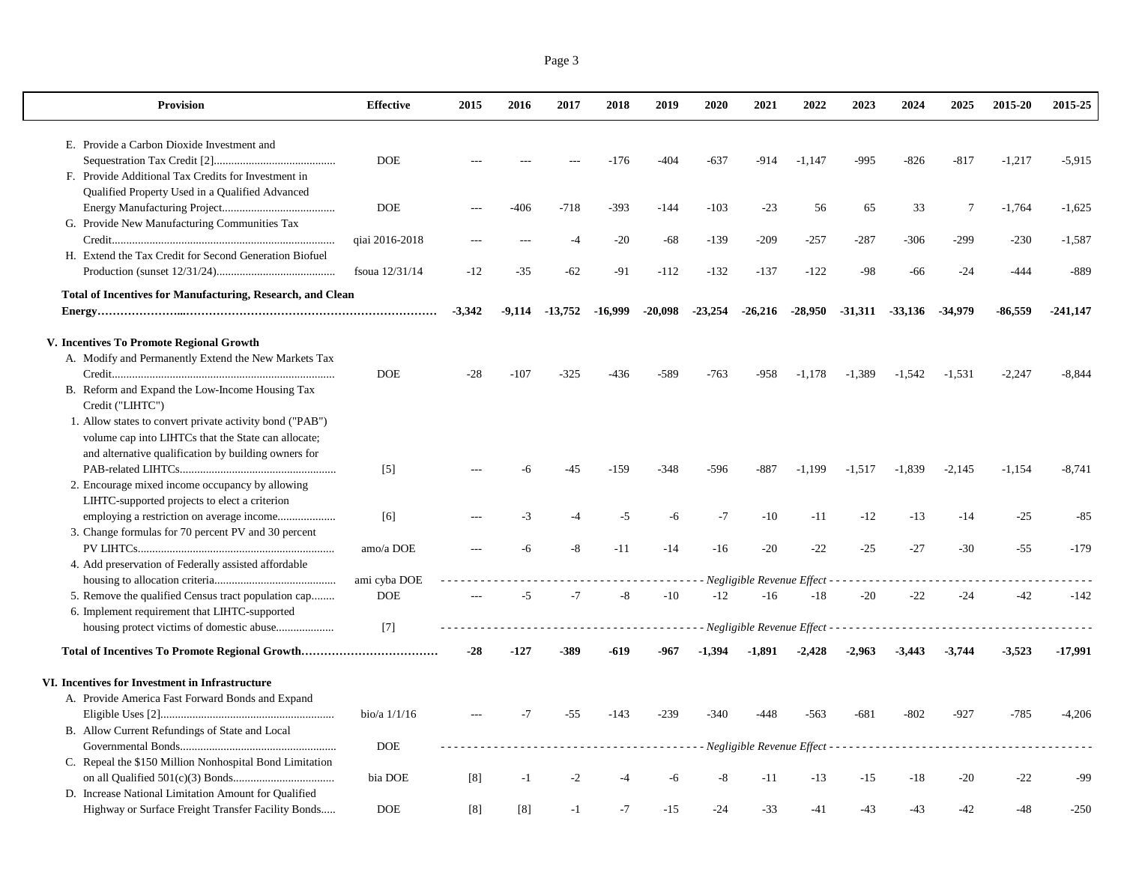| Page 3 |  |
|--------|--|
|        |  |

| <b>Provision</b>                                                                           | <b>Effective</b>  | 2015     | 2016     | 2017      | 2018      | 2019                 | 2020      | 2021                      | 2022                        | 2023                                                                                                                                                 | 2024                 | 2025      | 2015-20   | 2015-25    |
|--------------------------------------------------------------------------------------------|-------------------|----------|----------|-----------|-----------|----------------------|-----------|---------------------------|-----------------------------|------------------------------------------------------------------------------------------------------------------------------------------------------|----------------------|-----------|-----------|------------|
| E. Provide a Carbon Dioxide Investment and                                                 |                   |          |          |           |           |                      |           |                           |                             |                                                                                                                                                      |                      |           |           |            |
|                                                                                            | <b>DOE</b>        |          |          |           | $-176$    | $-404$               | $-637$    | $-914$                    | $-1.147$                    | $-995$                                                                                                                                               | $-826$               | $-817$    | $-1.217$  | $-5.915$   |
| F. Provide Additional Tax Credits for Investment in                                        |                   |          |          |           |           |                      |           |                           |                             |                                                                                                                                                      |                      |           |           |            |
| Qualified Property Used in a Qualified Advanced                                            |                   |          |          |           |           |                      |           |                           |                             |                                                                                                                                                      |                      |           |           |            |
|                                                                                            | <b>DOE</b>        |          | -406     | $-718$    | $-393$    | $-144$               | $-103$    | $-23$                     | 56                          | 65                                                                                                                                                   | 33                   | 7         | $-1,764$  | $-1,625$   |
| G. Provide New Manufacturing Communities Tax                                               |                   |          |          |           |           |                      |           |                           |                             |                                                                                                                                                      |                      |           |           |            |
|                                                                                            | qiai 2016-2018    |          |          | $-4$      | $-20$     | $-68$                | $-139$    | $-209$                    | $-257$                      | $-287$                                                                                                                                               | $-306$               | $-299$    | $-230$    | $-1,587$   |
| H. Extend the Tax Credit for Second Generation Biofuel                                     |                   |          |          |           |           |                      |           |                           |                             |                                                                                                                                                      |                      |           |           |            |
|                                                                                            | fsoua $12/31/14$  | $-12$    | $-35$    | $-62$     | $-91$     | $-112$               | $-132$    | $-137$                    | $-122$                      | $-98$                                                                                                                                                | -66                  | $-24$     | $-444$    | $-889$     |
| <b>Total of Incentives for Manufacturing, Research, and Clean</b>                          |                   |          |          |           |           |                      |           |                           |                             |                                                                                                                                                      |                      |           |           |            |
|                                                                                            |                   | $-3,342$ | $-9,114$ | $-13,752$ | $-16,999$ | $-20,098$            | $-23,254$ | $-26,216$                 | $-28,950$                   | $-31,311$                                                                                                                                            | $-33,136$            | $-34.979$ | $-86,559$ | $-241,147$ |
|                                                                                            |                   |          |          |           |           |                      |           |                           |                             |                                                                                                                                                      |                      |           |           |            |
| V. Incentives To Promote Regional Growth                                                   |                   |          |          |           |           |                      |           |                           |                             |                                                                                                                                                      |                      |           |           |            |
| A. Modify and Permanently Extend the New Markets Tax                                       |                   |          |          |           |           |                      |           |                           |                             |                                                                                                                                                      |                      |           |           |            |
|                                                                                            | <b>DOE</b>        | $-28$    | $-107$   | $-325$    | $-436$    | $-589$               | $-763$    | -958                      | $-1.178$                    | $-1,389$                                                                                                                                             | $-1,542$             | $-1,531$  | $-2,247$  | $-8,844$   |
| B. Reform and Expand the Low-Income Housing Tax                                            |                   |          |          |           |           |                      |           |                           |                             |                                                                                                                                                      |                      |           |           |            |
| Credit ("LIHTC")                                                                           |                   |          |          |           |           |                      |           |                           |                             |                                                                                                                                                      |                      |           |           |            |
| 1. Allow states to convert private activity bond ("PAB")                                   |                   |          |          |           |           |                      |           |                           |                             |                                                                                                                                                      |                      |           |           |            |
| volume cap into LIHTCs that the State can allocate;                                        |                   |          |          |           |           |                      |           |                           |                             |                                                                                                                                                      |                      |           |           |            |
| and alternative qualification by building owners for                                       |                   |          |          |           |           |                      |           |                           |                             |                                                                                                                                                      |                      |           |           |            |
|                                                                                            | $\lceil 5 \rceil$ |          | -6       | $-45$     | $-159$    | $-348$               | $-596$    | $-887$                    | $-1,199$                    | $-1,517$                                                                                                                                             | $-1,839$             | $-2,145$  | $-1,154$  | $-8,741$   |
| 2. Encourage mixed income occupancy by allowing                                            |                   |          |          |           |           |                      |           |                           |                             |                                                                                                                                                      |                      |           |           |            |
| LIHTC-supported projects to elect a criterion<br>employing a restriction on average income | [6]               |          | -3       | -4        | $-5$      | -6                   | $-7$      | $-10$                     | $-11$                       | $-12$                                                                                                                                                | $-13$                | $-14$     | $-25$     | $-85$      |
| 3. Change formulas for 70 percent PV and 30 percent                                        |                   |          |          |           |           |                      |           |                           |                             |                                                                                                                                                      |                      |           |           |            |
|                                                                                            | amo/a DOE         |          | -6       | $-8$      | $-11$     | $-14$                | $-16$     | $-20$                     | $-22$                       | $-25$                                                                                                                                                | $-27$                | $-30$     | $-55$     | $-179$     |
| 4. Add preservation of Federally assisted affordable                                       |                   |          |          |           |           |                      |           |                           |                             |                                                                                                                                                      |                      |           |           |            |
|                                                                                            | ami cyba DOE      |          |          |           |           | $\sim$ $\sim$ $\sim$ |           |                           | Negligible Revenue Effect - | $\frac{1}{2} \left( \frac{1}{2} \right) \left( \frac{1}{2} \right) \left( \frac{1}{2} \right) \left( \frac{1}{2} \right) \left( \frac{1}{2} \right)$ | $\sim$ $\sim$ $\sim$ |           |           |            |
| 5. Remove the qualified Census tract population cap                                        | <b>DOE</b>        |          | $-5$     | $-7$      | $-8$      | $-10$                | $-12$     | $-16$                     | $-18$                       | $-20$                                                                                                                                                | $-22$                | $-24$     | $-42$     | $-142$     |
| 6. Implement requirement that LIHTC-supported                                              |                   |          |          |           |           |                      |           |                           |                             |                                                                                                                                                      |                      |           |           |            |
|                                                                                            | $[7]$             |          |          |           |           |                      |           | Negligible Revenue Effect |                             |                                                                                                                                                      |                      |           |           |            |
|                                                                                            |                   | $-28$    | $-127$   | $-389$    | -619      | -967                 | $-1.394$  | $-1,891$                  | $-2,428$                    | $-2,963$                                                                                                                                             | $-3,443$             | $-3,744$  | $-3,523$  | -17,991    |
|                                                                                            |                   |          |          |           |           |                      |           |                           |                             |                                                                                                                                                      |                      |           |           |            |
| VI. Incentives for Investment in Infrastructure                                            |                   |          |          |           |           |                      |           |                           |                             |                                                                                                                                                      |                      |           |           |            |
| A. Provide America Fast Forward Bonds and Expand                                           |                   |          |          |           |           |                      |           |                           |                             |                                                                                                                                                      |                      |           |           |            |
|                                                                                            | bio/a $1/1/16$    |          | $-7$     | $-55$     | $-143$    | $-239$               | $-340$    | -448                      | $-563$                      | $-681$                                                                                                                                               | $-802$               | $-927$    | $-785$    | $-4,206$   |
| B. Allow Current Refundings of State and Local                                             |                   |          |          |           |           |                      |           |                           |                             |                                                                                                                                                      |                      |           |           |            |
| C. Repeal the \$150 Million Nonhospital Bond Limitation                                    | <b>DOE</b>        |          |          |           |           | .                    |           |                           | Negligible Revenue Effect - | .                                                                                                                                                    |                      |           |           |            |
|                                                                                            | bia DOE           | [8]      | $-1$     | $-2$      |           |                      | $-8$      | $-11$                     | $-13$                       | $-15$                                                                                                                                                | $-18$                | $-20$     | $-22$     | -99        |
| D. Increase National Limitation Amount for Qualified                                       |                   |          |          |           |           |                      |           |                           |                             |                                                                                                                                                      |                      |           |           |            |
| Highway or Surface Freight Transfer Facility Bonds                                         | <b>DOE</b>        | [8]      | [8]      | $-1$      | $-7$      | $-15$                | $-24$     | $-33$                     | $-41$                       | -43                                                                                                                                                  | $-43$                | -42       | -48       | $-250$     |
|                                                                                            |                   |          |          |           |           |                      |           |                           |                             |                                                                                                                                                      |                      |           |           |            |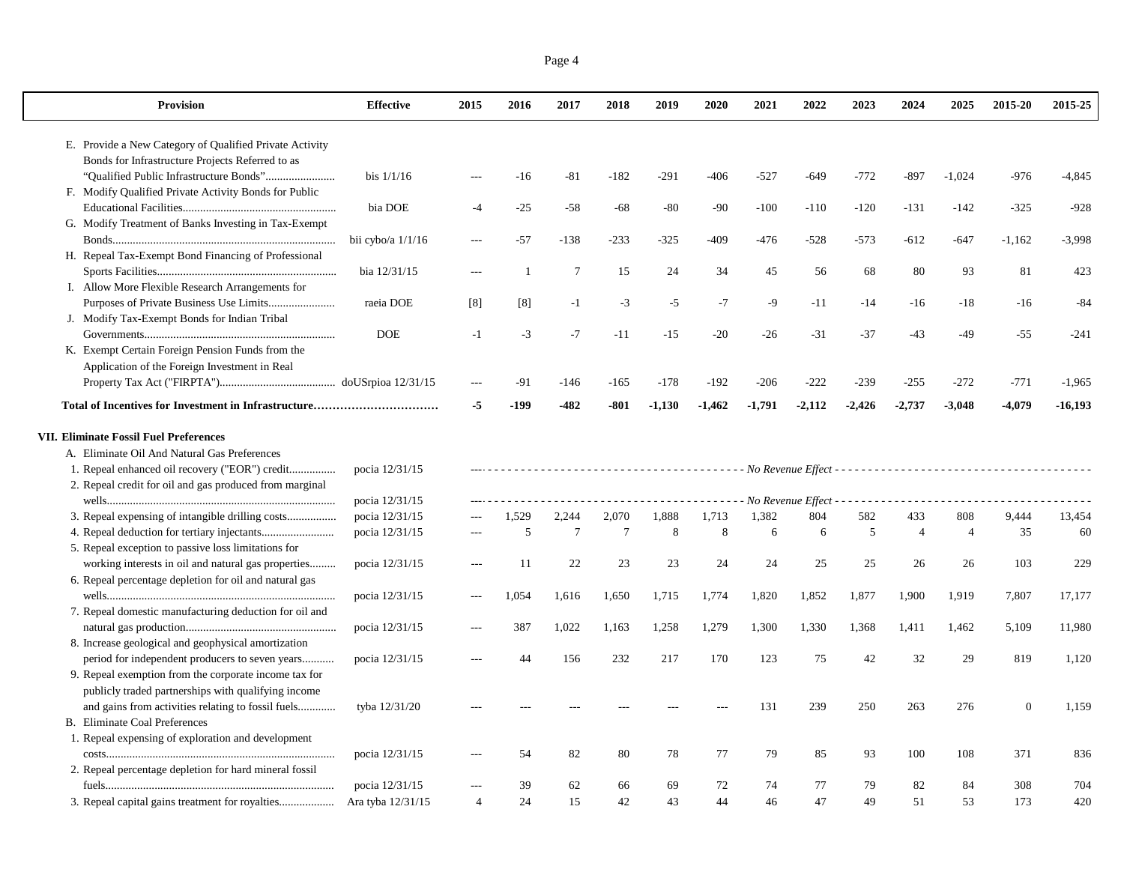|--|--|

| <b>Provision</b>                                                                                                                                                                                                                                                                                                                                                                                                                                                                                                 | <b>Effective</b>    | 2015           | 2016   | 2017   | 2018            | 2019     | 2020     | 2021     | 2022     | 2023     | 2024           | 2025           | 2015-20  | 2015-25   |
|------------------------------------------------------------------------------------------------------------------------------------------------------------------------------------------------------------------------------------------------------------------------------------------------------------------------------------------------------------------------------------------------------------------------------------------------------------------------------------------------------------------|---------------------|----------------|--------|--------|-----------------|----------|----------|----------|----------|----------|----------------|----------------|----------|-----------|
| E. Provide a New Category of Qualified Private Activity                                                                                                                                                                                                                                                                                                                                                                                                                                                          |                     |                |        |        |                 |          |          |          |          |          |                |                |          |           |
| Bonds for Infrastructure Projects Referred to as                                                                                                                                                                                                                                                                                                                                                                                                                                                                 |                     |                |        |        |                 |          |          |          |          |          |                |                |          |           |
|                                                                                                                                                                                                                                                                                                                                                                                                                                                                                                                  | bis $1/1/16$        |                | $-16$  | $-81$  | $-182$          | $-291$   | $-406$   | $-527$   | $-649$   | $-772$   | $-897$         | $-1,024$       | $-976$   | $-4,845$  |
| F. Modify Qualified Private Activity Bonds for Public                                                                                                                                                                                                                                                                                                                                                                                                                                                            |                     |                |        |        |                 |          |          |          |          |          |                |                |          |           |
|                                                                                                                                                                                                                                                                                                                                                                                                                                                                                                                  | bia DOE             | $-4$           | $-25$  | $-58$  | $-68$           | $-80$    | $-90$    | $-100$   | $-110$   | $-120$   | $-131$         | $-142$         | $-325$   | $-928$    |
| G. Modify Treatment of Banks Investing in Tax-Exempt                                                                                                                                                                                                                                                                                                                                                                                                                                                             |                     |                |        |        |                 |          |          |          |          |          |                |                |          |           |
|                                                                                                                                                                                                                                                                                                                                                                                                                                                                                                                  | bii cybo/a $1/1/16$ | $\overline{a}$ | $-57$  | $-138$ | $-233$          | $-325$   | $-409$   | $-476$   | $-528$   | $-573$   | $-612$         | $-647$         | $-1,162$ | $-3,998$  |
| H. Repeal Tax-Exempt Bond Financing of Professional                                                                                                                                                                                                                                                                                                                                                                                                                                                              |                     |                |        |        |                 |          |          |          |          |          |                |                |          |           |
|                                                                                                                                                                                                                                                                                                                                                                                                                                                                                                                  | bia 12/31/15        |                | -1     | $\tau$ | 15              | 24       | 34       | 45       | 56       | 68       | 80             | 93             | 81       | 423       |
| I. Allow More Flexible Research Arrangements for                                                                                                                                                                                                                                                                                                                                                                                                                                                                 |                     |                |        |        |                 |          |          |          |          |          |                |                |          |           |
| Purposes of Private Business Use Limits                                                                                                                                                                                                                                                                                                                                                                                                                                                                          | raeia DOE           | [8]            | [8]    | $-1$   | $-3$            | $-5$     | $-7$     | $-9$     | $-11$    | $-14$    | $-16$          | $-18$          | $-16$    | $-84$     |
| J. Modify Tax-Exempt Bonds for Indian Tribal                                                                                                                                                                                                                                                                                                                                                                                                                                                                     |                     |                |        |        |                 |          |          |          |          |          |                |                |          |           |
| $\label{eq:3} {\bf Governments}.\textcolor{red}{\textbf{5}}\textcolor{red}{\textbf{5}}\textcolor{red}{\textbf{6}}\textcolor{red}{\textbf{6}}\textcolor{red}{\textbf{6}}\textcolor{red}{\textbf{6}}\textcolor{red}{\textbf{7}}\textcolor{red}{\textbf{6}}\textcolor{red}{\textbf{7}}\textcolor{red}{\textbf{7}}\textcolor{red}{\textbf{8}}\textcolor{red}{\textbf{8}}\textcolor{red}{\textbf{9}}\textcolor{red}{\textbf{10}}\textcolor{red}{\textbf{10}}\textcolor{red}{\textbf{10}}\textcolor{red}{\textbf{10}}$ | <b>DOE</b>          | $-1$           | $-3$   | $-7$   | $-11$           | $-15$    | $-20$    | $-26$    | $-31$    | $-37$    | $-43$          | -49            | -55      | $-241$    |
| K. Exempt Certain Foreign Pension Funds from the                                                                                                                                                                                                                                                                                                                                                                                                                                                                 |                     |                |        |        |                 |          |          |          |          |          |                |                |          |           |
| Application of the Foreign Investment in Real                                                                                                                                                                                                                                                                                                                                                                                                                                                                    |                     |                |        |        |                 |          |          |          |          |          |                |                |          |           |
|                                                                                                                                                                                                                                                                                                                                                                                                                                                                                                                  |                     |                | $-91$  | $-146$ | $-165$          | $-178$   | $-192$   | $-206$   | $-222$   | $-239$   | $-255$         | $-272$         | $-771$   | $-1,965$  |
|                                                                                                                                                                                                                                                                                                                                                                                                                                                                                                                  |                     | $-5$           | $-199$ | $-482$ | $-801$          | $-1,130$ | $-1,462$ | $-1,791$ | $-2,112$ | $-2,426$ | $-2.737$       | $-3,048$       | $-4,079$ | $-16,193$ |
| 1. Repeal enhanced oil recovery ("EOR") credit<br>2. Repeal credit for oil and gas produced from marginal                                                                                                                                                                                                                                                                                                                                                                                                        | pocia 12/31/15      |                |        |        |                 |          |          |          |          |          |                |                |          |           |
|                                                                                                                                                                                                                                                                                                                                                                                                                                                                                                                  | pocia 12/31/15      |                |        |        |                 |          |          |          |          |          |                |                |          |           |
|                                                                                                                                                                                                                                                                                                                                                                                                                                                                                                                  | pocia 12/31/15      | $\overline{a}$ | 1,529  | 2,244  | 2,070           | 1,888    | 1,713    | 1,382    | 804      | 582      | 433            | 808            | 9,444    | 13,454    |
|                                                                                                                                                                                                                                                                                                                                                                                                                                                                                                                  | pocia 12/31/15      |                | 5      | $\tau$ | $7\phantom{.0}$ | 8        | 8        | 6        | 6        | 5        | $\overline{4}$ | $\overline{4}$ | 35       | 60        |
| 5. Repeal exception to passive loss limitations for                                                                                                                                                                                                                                                                                                                                                                                                                                                              |                     |                |        |        |                 |          |          |          |          |          |                |                |          |           |
| working interests in oil and natural gas properties                                                                                                                                                                                                                                                                                                                                                                                                                                                              | pocia 12/31/15      | $---$          | 11     | 22     | 23              | 23       | 24       | 24       | 25       | 25       | 26             | 26             | 103      | 229       |
| 6. Repeal percentage depletion for oil and natural gas                                                                                                                                                                                                                                                                                                                                                                                                                                                           |                     |                |        |        |                 |          |          |          |          |          |                |                |          |           |
|                                                                                                                                                                                                                                                                                                                                                                                                                                                                                                                  | pocia 12/31/15      | $---$          | 1,054  | 1,616  | 1,650           | 1,715    | 1,774    | 1,820    | 1,852    | 1,877    | 1,900          | 1,919          | 7,807    | 17,177    |
| 7. Repeal domestic manufacturing deduction for oil and                                                                                                                                                                                                                                                                                                                                                                                                                                                           |                     |                |        |        |                 |          |          |          |          |          |                |                |          |           |
|                                                                                                                                                                                                                                                                                                                                                                                                                                                                                                                  | pocia 12/31/15      |                | 387    | 1,022  | 1,163           | 1,258    | 1,279    | 1,300    | 1,330    | 1,368    | 1,411          | 1,462          | 5,109    | 11,980    |
| 8. Increase geological and geophysical amortization                                                                                                                                                                                                                                                                                                                                                                                                                                                              |                     |                |        |        |                 |          |          |          |          |          |                |                |          |           |
| period for independent producers to seven years                                                                                                                                                                                                                                                                                                                                                                                                                                                                  | pocia 12/31/15      | $\sim$         | 44     | 156    | 232             | 217      | 170      | 123      | 75       | 42       | 32             | 29             | 819      | 1,120     |
| 9. Repeal exemption from the corporate income tax for                                                                                                                                                                                                                                                                                                                                                                                                                                                            |                     |                |        |        |                 |          |          |          |          |          |                |                |          |           |
| publicly traded partnerships with qualifying income                                                                                                                                                                                                                                                                                                                                                                                                                                                              |                     |                |        |        |                 |          |          |          |          |          |                |                |          |           |
| and gains from activities relating to fossil fuels                                                                                                                                                                                                                                                                                                                                                                                                                                                               | tyba 12/31/20       |                |        |        |                 |          |          | 131      | 239      | 250      | 263            | 276            | $\theta$ | 1,159     |
| <b>B.</b> Eliminate Coal Preferences                                                                                                                                                                                                                                                                                                                                                                                                                                                                             |                     |                |        |        |                 |          |          |          |          |          |                |                |          |           |
| 1. Repeal expensing of exploration and development                                                                                                                                                                                                                                                                                                                                                                                                                                                               |                     |                |        |        |                 |          |          |          |          |          |                |                |          |           |
|                                                                                                                                                                                                                                                                                                                                                                                                                                                                                                                  | pocia 12/31/15      |                | 54     | 82     | 80              | 78       | 77       | 79       | 85       | 93       | 100            | 108            | 371      | 836       |
| 2. Repeal percentage depletion for hard mineral fossil                                                                                                                                                                                                                                                                                                                                                                                                                                                           |                     |                |        |        |                 |          |          |          |          |          |                |                |          |           |
|                                                                                                                                                                                                                                                                                                                                                                                                                                                                                                                  | pocia 12/31/15      |                | 39     | 62     | 66              | 69       | 72       | 74       | 77       | 79       | 82             | 84             | 308      | 704       |
| 3. Repeal capital gains treatment for royalties                                                                                                                                                                                                                                                                                                                                                                                                                                                                  | Ara tyba 12/31/15   | $\overline{4}$ | 24     | 15     | 42              | 43       | 44       | 46       | 47       | 49       | 51             | 53             | 173      | 420       |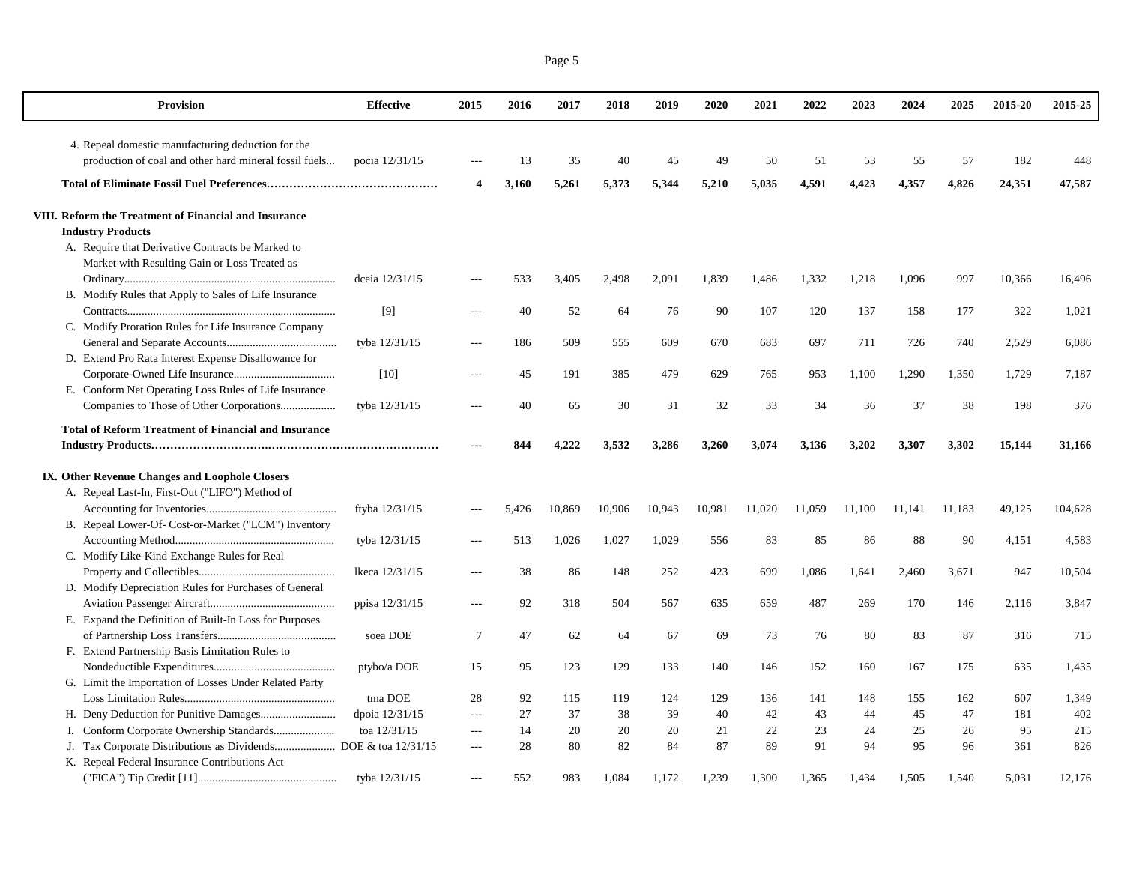| <b>Provision</b>                                                              | <b>Effective</b> | 2015           | 2016  | 2017   | 2018   | 2019   | 2020   | 2021   | 2022   | 2023   | 2024   | 2025   | 2015-20 | 2015-25 |
|-------------------------------------------------------------------------------|------------------|----------------|-------|--------|--------|--------|--------|--------|--------|--------|--------|--------|---------|---------|
| 4. Repeal domestic manufacturing deduction for the                            |                  |                |       |        |        |        |        |        |        |        |        |        |         |         |
| production of coal and other hard mineral fossil fuels                        | pocia 12/31/15   |                | 13    | 35     | 40     | 45     | 49     | 50     | 51     | 53     | 55     | 57     | 182     | 448     |
|                                                                               |                  | 4              | 3,160 | 5,261  | 5,373  | 5,344  | 5,210  | 5,035  | 4,591  | 4,423  | 4,357  | 4,826  | 24,351  | 47,587  |
| VIII. Reform the Treatment of Financial and Insurance                         |                  |                |       |        |        |        |        |        |        |        |        |        |         |         |
| <b>Industry Products</b><br>A. Require that Derivative Contracts be Marked to |                  |                |       |        |        |        |        |        |        |        |        |        |         |         |
| Market with Resulting Gain or Loss Treated as                                 |                  |                |       |        |        |        |        |        |        |        |        |        |         |         |
|                                                                               | dceia 12/31/15   | $---$          | 533   | 3,405  | 2,498  | 2,091  | 1,839  | 1,486  | 1,332  | 1,218  | 1,096  | 997    | 10,366  | 16,496  |
| B. Modify Rules that Apply to Sales of Life Insurance                         |                  |                |       |        |        |        |        |        |        |        |        |        |         |         |
|                                                                               | [9]              |                | 40    | 52     | 64     | 76     | 90     | 107    | 120    | 137    | 158    | 177    | 322     | 1,021   |
| C. Modify Proration Rules for Life Insurance Company                          |                  |                |       |        |        |        |        |        |        |        |        |        |         |         |
|                                                                               | tyba 12/31/15    |                | 186   | 509    | 555    | 609    | 670    | 683    | 697    | 711    | 726    | 740    | 2,529   | 6,086   |
| D. Extend Pro Rata Interest Expense Disallowance for                          |                  |                |       |        |        |        |        |        |        |        |        |        |         |         |
|                                                                               | [10]             |                | 45    | 191    | 385    | 479    | 629    | 765    | 953    | 1,100  | 1,290  | 1,350  | 1.729   | 7.187   |
| E. Conform Net Operating Loss Rules of Life Insurance                         |                  |                |       |        |        |        |        |        |        |        |        |        |         |         |
| Companies to Those of Other Corporations                                      | tyba 12/31/15    |                | 40    | 65     | 30     | 31     | 32     | 33     | 34     | 36     | 37     | 38     | 198     | 376     |
|                                                                               |                  |                |       |        |        |        |        |        |        |        |        |        |         |         |
| <b>Total of Reform Treatment of Financial and Insurance</b>                   |                  | $\overline{a}$ |       | 4.222  | 3,532  |        |        |        |        |        |        |        |         |         |
|                                                                               |                  |                | 844   |        |        | 3,286  | 3,260  | 3,074  | 3,136  | 3,202  | 3,307  | 3,302  | 15,144  | 31,166  |
| IX. Other Revenue Changes and Loophole Closers                                |                  |                |       |        |        |        |        |        |        |        |        |        |         |         |
| A. Repeal Last-In, First-Out ("LIFO") Method of                               |                  |                |       |        |        |        |        |        |        |        |        |        |         |         |
|                                                                               | ftyba 12/31/15   |                | 5,426 | 10,869 | 10,906 | 10,943 | 10,981 | 11.020 | 11.059 | 11.100 | 11,141 | 11,183 | 49,125  | 104,628 |
| B. Repeal Lower-Of- Cost-or-Market ("LCM") Inventory                          |                  |                |       |        |        |        |        |        |        |        |        |        |         |         |
|                                                                               | tyba 12/31/15    | $\overline{a}$ | 513   | 1,026  | 1,027  | 1,029  | 556    | 83     | 85     | 86     | 88     | 90     | 4,151   | 4,583   |
| C. Modify Like-Kind Exchange Rules for Real                                   |                  |                |       |        |        |        |        |        |        |        |        |        |         |         |
|                                                                               | lkeca 12/31/15   |                | 38    | 86     | 148    | 252    | 423    | 699    | 1,086  | 1,641  | 2,460  | 3,671  | 947     | 10,504  |
| D. Modify Depreciation Rules for Purchases of General                         |                  |                |       |        |        |        |        |        |        |        |        |        |         |         |
|                                                                               | ppisa 12/31/15   |                | 92    | 318    | 504    | 567    | 635    | 659    | 487    | 269    | 170    | 146    | 2,116   | 3,847   |
| E. Expand the Definition of Built-In Loss for Purposes                        |                  |                |       |        |        |        |        |        |        |        |        |        |         |         |
|                                                                               | soea DOE         | 7              | 47    | 62     | 64     | 67     | 69     | 73     | 76     | 80     | 83     | 87     | 316     | 715     |
| F. Extend Partnership Basis Limitation Rules to                               |                  |                |       |        |        |        |        |        |        |        |        |        |         |         |
|                                                                               | ptybo/a DOE      | 15             | 95    | 123    | 129    | 133    | 140    | 146    | 152    | 160    | 167    | 175    | 635     | 1,435   |
| G. Limit the Importation of Losses Under Related Party                        |                  |                |       |        |        |        |        |        |        |        |        |        |         |         |
|                                                                               | tma DOE          | 28             | 92    | 115    | 119    | 124    | 129    | 136    | 141    | 148    | 155    | 162    | 607     | 1,349   |
|                                                                               | dpoia 12/31/15   | $\overline{a}$ | 27    | 37     | 38     | 39     | 40     | 42     | 43     | 44     | 45     | 47     | 181     | 402     |
|                                                                               | toa 12/31/15     | $\sim$         | 14    | 20     | 20     | 20     | 21     | 22     | 23     | 24     | 25     | 26     | 95      | 215     |
|                                                                               |                  | $\overline{a}$ | 28    | 80     | 82     | 84     | 87     | 89     | 91     | 94     | 95     | 96     | 361     | 826     |
| K. Repeal Federal Insurance Contributions Act                                 |                  |                |       |        |        |        |        |        |        |        |        |        |         |         |
|                                                                               | tyba 12/31/15    | $\overline{a}$ | 552   | 983    | 1.084  | 1.172  | 1,239  | 1.300  | 1.365  | 1,434  | 1,505  | 1,540  | 5,031   | 12,176  |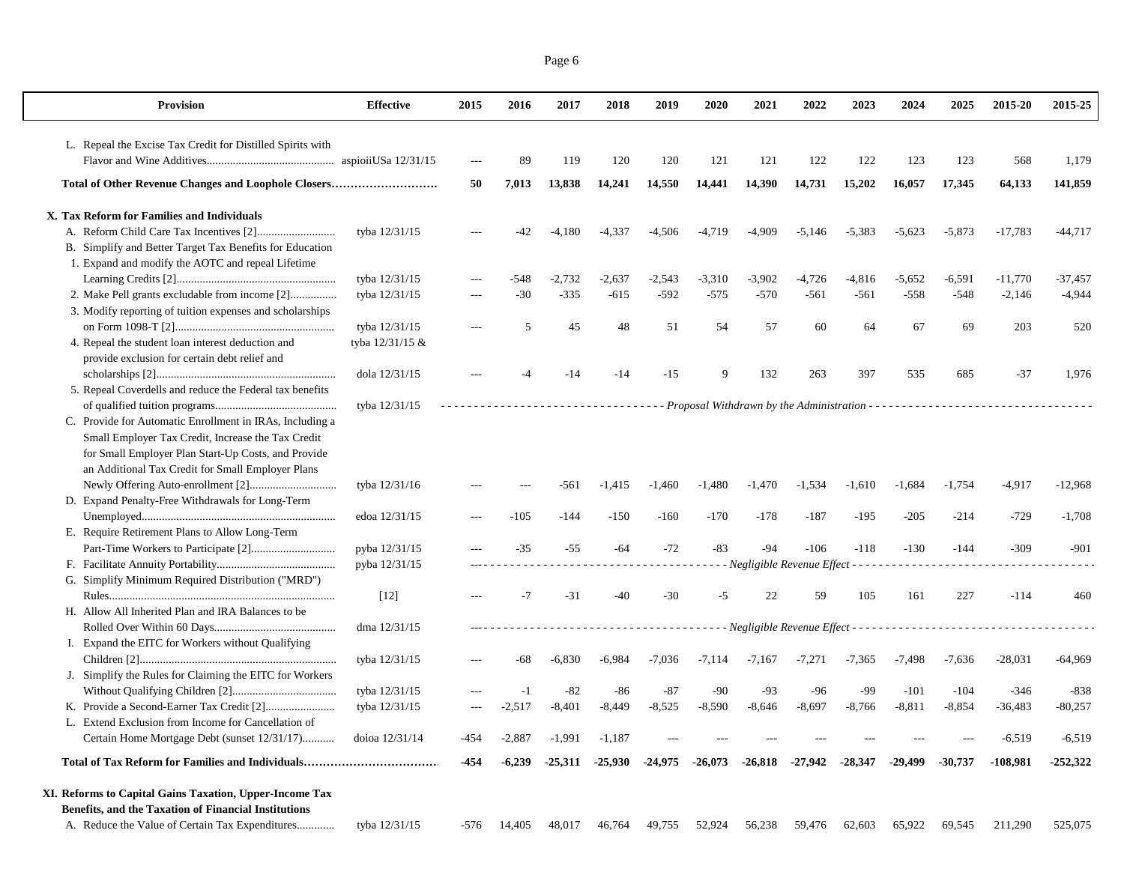| <b>Provision</b>                                                                                   | <b>Effective</b> | 2015  | 2016     | 2017      | 2018     | 2019                | 2020     | 2021                                  | 2022     | 2023      | 2024      | 2025      | 2015-20   | 2015-25    |
|----------------------------------------------------------------------------------------------------|------------------|-------|----------|-----------|----------|---------------------|----------|---------------------------------------|----------|-----------|-----------|-----------|-----------|------------|
| L. Repeal the Excise Tax Credit for Distilled Spirits with                                         |                  |       |          |           |          |                     |          |                                       |          |           |           |           |           |            |
|                                                                                                    |                  |       | 89       | 119       | 120      | 120                 | 121      | 121                                   | 122      | 122       | 123       | 123       | 568       | 1,179      |
| Total of Other Revenue Changes and Loophole Closers                                                |                  | 50    | 7,013    | 13,838    | 14,241   | 14,550              | 14,441   | 14,390                                | 14,731   | 15,202    | 16,057    | 17,345    | 64,133    | 141,859    |
| X. Tax Reform for Families and Individuals                                                         |                  |       |          |           |          |                     |          |                                       |          |           |           |           |           |            |
|                                                                                                    | tyba 12/31/15    |       |          | $-4,180$  | $-4,337$ | $-4,506$            | $-4,719$ | $-4,909$                              | $-5,146$ | $-5,383$  | $-5,623$  | $-5,873$  | $-17,783$ | $-44,717$  |
| B. Simplify and Better Target Tax Benefits for Education                                           |                  |       |          |           |          |                     |          |                                       |          |           |           |           |           |            |
| 1. Expand and modify the AOTC and repeal Lifetime                                                  |                  |       |          |           |          |                     |          |                                       |          |           |           |           |           |            |
|                                                                                                    | tyba 12/31/15    | $---$ | -548     | $-2,732$  | $-2,637$ | $-2,543$            | $-3,310$ | $-3,902$                              | $-4,726$ | $-4,816$  | $-5,652$  | $-6,591$  | $-11,770$ | -37,457    |
| 2. Make Pell grants excludable from income [2]                                                     | tyba 12/31/15    |       | $-30$    | $-335$    | $-615$   | $-592$              | $-575$   | $-570$                                | $-561$   | $-561$    | $-558$    | $-548$    | $-2,146$  | $-4,944$   |
| 3. Modify reporting of tuition expenses and scholarships                                           |                  |       |          |           |          |                     |          |                                       |          |           |           |           |           |            |
|                                                                                                    | tyba 12/31/15    |       | .5       | 45        | 48       | 51                  | 54       | 57                                    | 60       | 64        | 67        | 69        | 203       | 520        |
| 4. Repeal the student loan interest deduction and<br>provide exclusion for certain debt relief and | tyba 12/31/15 &  |       |          |           |          |                     |          |                                       |          |           |           |           |           |            |
|                                                                                                    | dola 12/31/15    |       |          | $-14$     | $-14$    | $-15$               | 9        | 132                                   | 263      | 397       | 535       | 685       | $-37$     | 1,976      |
| 5. Repeal Coverdells and reduce the Federal tax benefits                                           |                  |       |          |           |          |                     |          |                                       |          |           |           |           |           |            |
|                                                                                                    | tyba 12/31/15    |       |          |           |          |                     |          |                                       |          |           |           |           |           |            |
| C. Provide for Automatic Enrollment in IRAs, Including a                                           |                  |       |          |           |          |                     |          |                                       |          |           |           |           |           |            |
| Small Employer Tax Credit, Increase the Tax Credit                                                 |                  |       |          |           |          |                     |          |                                       |          |           |           |           |           |            |
| for Small Employer Plan Start-Up Costs, and Provide                                                |                  |       |          |           |          |                     |          |                                       |          |           |           |           |           |            |
| an Additional Tax Credit for Small Employer Plans                                                  |                  |       |          |           |          |                     |          |                                       |          |           |           |           |           |            |
|                                                                                                    | tyba 12/31/16    |       |          | -561      | $-1,415$ | $-1,460$            | $-1,480$ | $-1,470$                              | $-1,534$ | $-1,610$  | $-1,684$  | $-1,754$  | $-4,917$  | $-12,968$  |
| D. Expand Penalty-Free Withdrawals for Long-Term                                                   |                  |       |          |           |          |                     |          |                                       |          |           |           |           |           |            |
|                                                                                                    | edoa 12/31/15    |       | $-105$   | $-144$    | $-150$   | $-160$              | $-170$   | $-178$                                | $-187$   | $-195$    | $-205$    | $-214$    | $-729$    | $-1,708$   |
| E. Require Retirement Plans to Allow Long-Term                                                     |                  |       |          |           |          |                     |          |                                       |          |           |           |           |           |            |
|                                                                                                    | pyba 12/31/15    |       | $-35$    | $-55$     | $-64$    | $-72$               | $-83$    | $-94$                                 | $-106$   | $-118$    | $-130$    | $-144$    | $-309$    | $-901$     |
|                                                                                                    | pyba 12/31/15    |       |          |           |          |                     |          | - Negligible Revenue Effect - - - - - |          |           |           |           |           |            |
| G. Simplify Minimum Required Distribution ("MRD")                                                  |                  |       |          |           |          |                     |          |                                       |          |           |           |           |           |            |
|                                                                                                    | $[12]$           |       | $-7$     | $-31$     | -40      | $-30$               | -5       | 22                                    | 59       | 105       | 161       | 227       | $-114$    | 460        |
| H. Allow All Inherited Plan and IRA Balances to be                                                 |                  |       |          |           |          |                     |          |                                       |          |           |           |           |           |            |
|                                                                                                    | dma 12/31/15     |       |          |           |          |                     |          |                                       |          |           |           |           |           |            |
| I. Expand the EITC for Workers without Qualifying                                                  |                  |       |          |           |          |                     |          |                                       |          |           |           |           |           |            |
|                                                                                                    | tyba 12/31/15    |       | -68      | $-6,830$  | $-6,984$ | $-7,036$            | $-7,114$ | $-7,167$                              | $-7,271$ | $-7,365$  | $-7,498$  | $-7,636$  | $-28,031$ | $-64,969$  |
| Simplify the Rules for Claiming the EITC for Workers<br>J.                                         |                  |       |          |           |          |                     |          |                                       |          |           |           |           |           |            |
|                                                                                                    | tyba 12/31/15    |       |          | $-82$     | -86      | $-87$               | $-90$    | $-93$                                 | $-96$    | -99       | $-101$    | $-104$    | $-346$    | $-838$     |
| K. Provide a Second-Earner Tax Credit [2]                                                          | tyba 12/31/15    | ---   | $-2,517$ | $-8,401$  | $-8,449$ | $-8,525$            | $-8,590$ | $-8,646$                              | $-8,697$ | $-8,766$  | $-8,811$  | $-8,854$  | $-36,483$ | $-80,257$  |
| L. Extend Exclusion from Income for Cancellation of                                                |                  |       |          |           |          |                     |          |                                       |          |           |           |           |           |            |
| Certain Home Mortgage Debt (sunset 12/31/17)                                                       | doioa 12/31/14   | -454  | $-2,887$ | $-1,991$  | $-1,187$ |                     |          |                                       |          |           |           |           | $-6,519$  | $-6,519$   |
|                                                                                                    |                  | -454  | $-6,239$ | $-25,311$ |          | $-25,930$ $-24,975$ | -26,073  | -26,818                               | -27,942  | $-28,347$ | $-29.499$ | $-30,737$ | -108,981  | $-252,322$ |
| XI. Reforms to Capital Gains Taxation, Upper-Income Tax                                            |                  |       |          |           |          |                     |          |                                       |          |           |           |           |           |            |
| Benefits, and the Taxation of Financial Institutions                                               |                  |       |          |           |          |                     |          |                                       |          |           |           |           |           |            |
| A. Reduce the Value of Certain Tax Expenditures                                                    | tyba 12/31/15    | -576  | 14,405   | 48,017    | 46,764   | 49,755              | 52,924   | 56,238                                | 59,476   | 62,603    | 65,922    | 69,545    | 211,290   | 525,075    |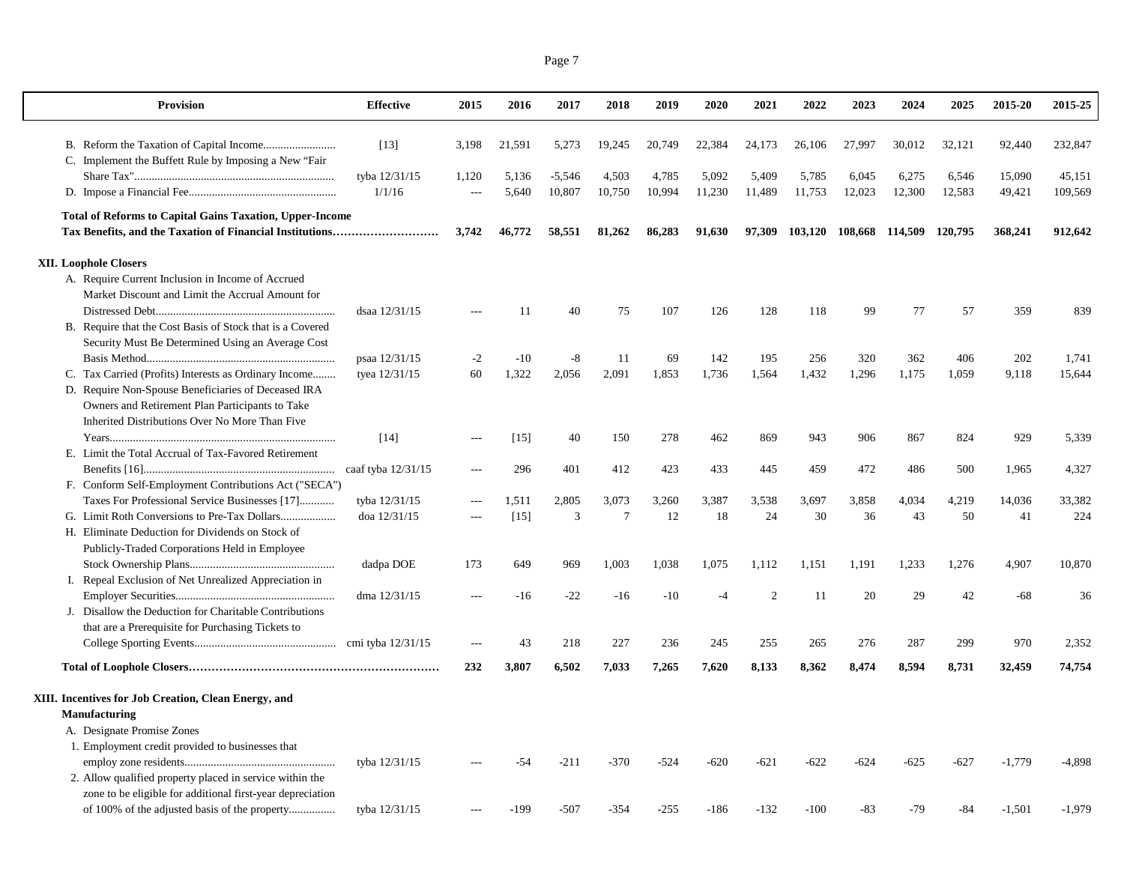| <b>Provision</b>                                                | <b>Effective</b>     | 2015           | 2016   | 2017     | 2018           | 2019   | 2020   | 2021   | 2022    | 2023    | 2024    | 2025    | 2015-20  | 2015-25  |
|-----------------------------------------------------------------|----------------------|----------------|--------|----------|----------------|--------|--------|--------|---------|---------|---------|---------|----------|----------|
|                                                                 | $[13]$               | 3,198          | 21,591 | 5,273    | 19,245         | 20,749 | 22,384 | 24,173 | 26,106  | 27,997  | 30,012  | 32.121  | 92,440   | 232,847  |
| C. Implement the Buffett Rule by Imposing a New "Fair"          |                      |                |        |          |                |        |        |        |         |         |         |         |          |          |
|                                                                 | tyba 12/31/15        | 1,120          | 5,136  | $-5,546$ | 4,503          | 4,785  | 5,092  | 5,409  | 5,785   | 6,045   | 6,275   | 6,546   | 15,090   | 45,151   |
|                                                                 | 1/1/16               | $\sim$         | 5,640  | 10,807   | 10,750         | 10,994 | 11,230 | 11,489 | 11,753  | 12,023  | 12,300  | 12,583  | 49,421   | 109,569  |
| <b>Total of Reforms to Capital Gains Taxation, Upper-Income</b> |                      |                |        |          |                |        |        |        |         |         |         |         |          |          |
|                                                                 |                      | 3,742          | 46,772 | 58,551   | 81,262         | 86,283 | 91,630 | 97,309 | 103,120 | 108,668 | 114,509 | 120,795 | 368,241  | 912,642  |
| <b>XII. Loophole Closers</b>                                    |                      |                |        |          |                |        |        |        |         |         |         |         |          |          |
| A. Require Current Inclusion in Income of Accrued               |                      |                |        |          |                |        |        |        |         |         |         |         |          |          |
| Market Discount and Limit the Accrual Amount for                |                      |                |        |          |                |        |        |        |         |         |         |         |          |          |
|                                                                 | dsaa 12/31/15        |                | 11     | 40       | 75             | 107    | 126    | 128    | 118     | 99      | 77      | 57      | 359      | 839      |
| B. Require that the Cost Basis of Stock that is a Covered       |                      |                |        |          |                |        |        |        |         |         |         |         |          |          |
| Security Must Be Determined Using an Average Cost               |                      |                |        |          |                |        |        |        |         |         |         |         |          |          |
|                                                                 | psaa 12/31/15        | $-2$           | $-10$  | $-8$     | 11             | 69     | 142    | 195    | 256     | 320     | 362     | 406     | 202      | 1,741    |
| C. Tax Carried (Profits) Interests as Ordinary Income           | tyea 12/31/15        | 60             | 1,322  | 2,056    | 2,091          | 1,853  | 1,736  | 1,564  | 1,432   | 1,296   | 1,175   | 1,059   | 9,118    | 15,644   |
| D. Require Non-Spouse Beneficiaries of Deceased IRA             |                      |                |        |          |                |        |        |        |         |         |         |         |          |          |
| Owners and Retirement Plan Participants to Take                 |                      |                |        |          |                |        |        |        |         |         |         |         |          |          |
| Inherited Distributions Over No More Than Five                  |                      |                |        |          |                |        |        |        |         |         |         |         |          |          |
|                                                                 | $[14]$               | $\overline{a}$ | [15]   | 40       | 150            | 278    | 462    | 869    | 943     | 906     | 867     | 824     | 929      | 5,339    |
| E. Limit the Total Accrual of Tax-Favored Retirement            |                      |                |        |          |                |        |        |        |         |         |         |         |          |          |
|                                                                 | caaf tyba $12/31/15$ | $\sim$         | 296    | 401      | 412            | 423    | 433    | 445    | 459     | 472     | 486     | 500     | 1,965    | 4,327    |
| F. Conform Self-Employment Contributions Act ("SECA")           |                      |                |        |          |                |        |        |        |         |         |         |         |          |          |
| Taxes For Professional Service Businesses [17]                  | tyba 12/31/15        |                | 1,511  | 2,805    | 3,073          | 3,260  | 3,387  | 3,538  | 3,697   | 3,858   | 4,034   | 4,219   | 14,036   | 33,382   |
|                                                                 | doa 12/31/15         | $---$          | $[15]$ | 3        | $\overline{7}$ | 12     | 18     | 24     | 30      | 36      | 43      | 50      | 41       | 224      |
| H. Eliminate Deduction for Dividends on Stock of                |                      |                |        |          |                |        |        |        |         |         |         |         |          |          |
| Publicly-Traded Corporations Held in Employee                   |                      |                |        |          |                |        |        |        |         |         |         |         |          |          |
|                                                                 | dadpa DOE            | 173            | 649    | 969      | 1,003          | 1,038  | 1,075  | 1,112  | 1,151   | 1,191   | 1,233   | 1,276   | 4,907    | 10,870   |
| I. Repeal Exclusion of Net Unrealized Appreciation in           |                      |                |        |          |                |        |        |        |         |         |         |         |          |          |
|                                                                 | dma 12/31/15         |                | $-16$  | $-22$    | $-16$          | $-10$  | $-4$   | 2      | 11      | 20      | 29      | 42      | $-68$    | 36       |
| J. Disallow the Deduction for Charitable Contributions          |                      |                |        |          |                |        |        |        |         |         |         |         |          |          |
| that are a Prerequisite for Purchasing Tickets to               |                      |                |        |          |                |        |        |        |         |         |         |         |          |          |
|                                                                 |                      |                | 43     | 218      | 227            | 236    | 245    | 255    | 265     | 276     | 287     | 299     | 970      | 2,352    |
|                                                                 |                      | 232            | 3,807  | 6,502    | 7,033          | 7,265  | 7,620  | 8,133  | 8,362   | 8,474   | 8,594   | 8,731   | 32,459   | 74,754   |
|                                                                 |                      |                |        |          |                |        |        |        |         |         |         |         |          |          |
| XIII. Incentives for Job Creation, Clean Energy, and            |                      |                |        |          |                |        |        |        |         |         |         |         |          |          |
| <b>Manufacturing</b>                                            |                      |                |        |          |                |        |        |        |         |         |         |         |          |          |
| A. Designate Promise Zones                                      |                      |                |        |          |                |        |        |        |         |         |         |         |          |          |
| 1. Employment credit provided to businesses that                | tyba 12/31/15        |                | -54    | $-211$   | $-370$         | $-524$ | $-620$ | $-621$ | $-622$  | $-624$  | $-625$  | $-627$  | $-1.779$ | $-4.898$ |
| 2. Allow qualified property placed in service within the        |                      |                |        |          |                |        |        |        |         |         |         |         |          |          |
| zone to be eligible for additional first-year depreciation      |                      |                |        |          |                |        |        |        |         |         |         |         |          |          |
|                                                                 | tyba 12/31/15        |                | -199   | $-507$   | $-354$         | $-255$ | $-186$ | $-132$ | $-100$  | -83     | $-79$   | -84     | $-1,501$ | $-1,979$ |
|                                                                 |                      |                |        |          |                |        |        |        |         |         |         |         |          |          |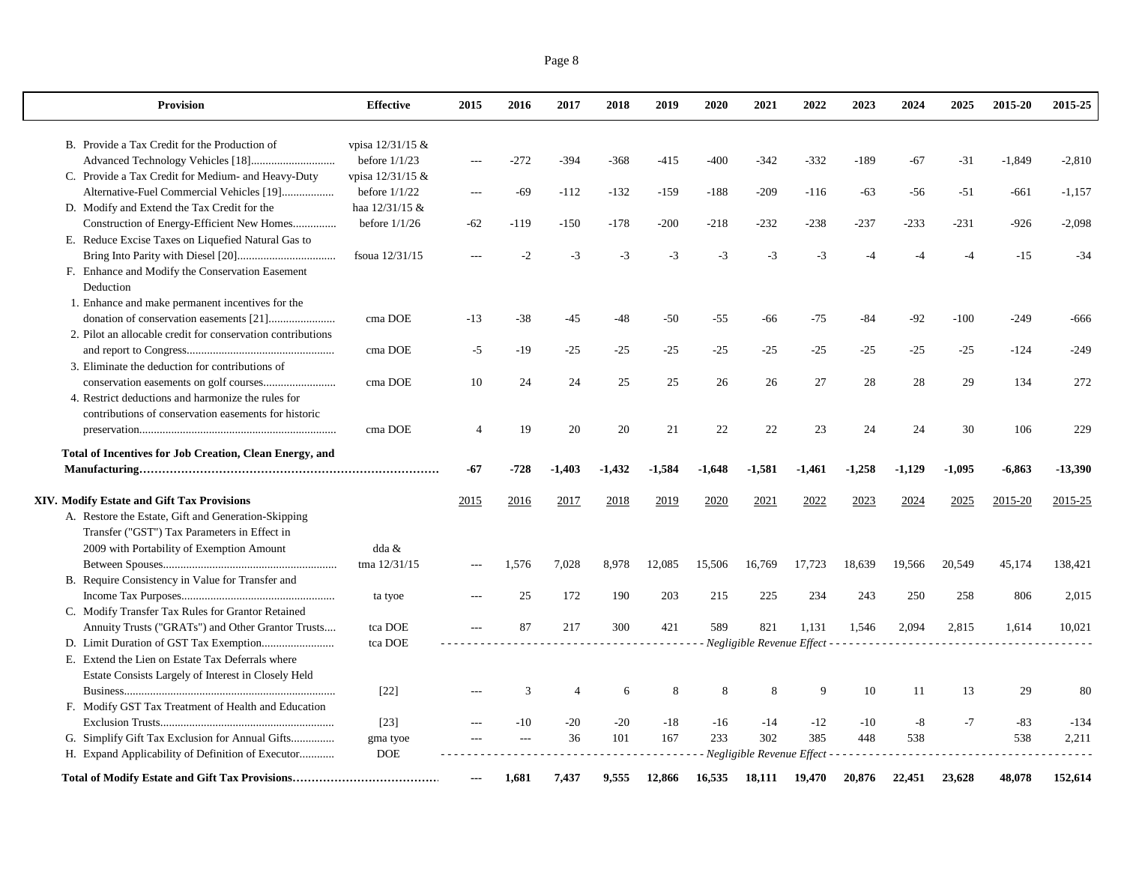| <b>Provision</b>                                                                                | <b>Effective</b>                    | 2015                     | 2016   | 2017           | 2018     | 2019     | 2020     | 2021                          | 2022     | 2023     | 2024     | 2025     | 2015-20  | 2015-25   |
|-------------------------------------------------------------------------------------------------|-------------------------------------|--------------------------|--------|----------------|----------|----------|----------|-------------------------------|----------|----------|----------|----------|----------|-----------|
|                                                                                                 | vpisa 12/31/15 &                    |                          |        |                |          |          |          |                               |          |          |          |          |          |           |
| B. Provide a Tax Credit for the Production of                                                   | before $1/1/23$                     |                          | $-272$ |                |          |          |          | $-342$                        |          |          |          |          |          |           |
|                                                                                                 |                                     | $\overline{\phantom{a}}$ |        | $-394$         | -368     | $-415$   | $-400$   |                               | $-332$   | $-189$   | $-67$    | $-31$    | $-1,849$ | $-2,810$  |
| C. Provide a Tax Credit for Medium- and Heavy-Duty<br>Alternative-Fuel Commercial Vehicles [19] | vpisa 12/31/15 &<br>before $1/1/22$ |                          | $-69$  |                |          |          |          | $-209$                        |          |          |          |          |          |           |
|                                                                                                 | haa 12/31/15 &                      | $---$                    |        | $-112$         | $-132$   | $-159$   | $-188$   |                               | $-116$   | $-63$    | $-56$    | $-51$    | $-661$   | $-1,157$  |
| D. Modify and Extend the Tax Credit for the                                                     |                                     |                          |        |                |          |          |          |                               |          |          |          |          |          |           |
| Construction of Energy-Efficient New Homes                                                      | before $1/1/26$                     | $-62$                    | $-119$ | $-150$         | $-178$   | $-200$   | $-218$   | $-232$                        | $-238$   | $-237$   | $-233$   | $-231$   | $-926$   | $-2,098$  |
| E. Reduce Excise Taxes on Liquefied Natural Gas to                                              |                                     |                          |        | $-3$           | $-3$     | $-3$     | $-3$     | $-3$                          |          | $-4$     | -4       | $-4$     |          | $-34$     |
|                                                                                                 | fsoua 12/31/15                      |                          | $-2$   |                |          |          |          |                               | $-3$     |          |          |          | $-15$    |           |
| F. Enhance and Modify the Conservation Easement<br>Deduction                                    |                                     |                          |        |                |          |          |          |                               |          |          |          |          |          |           |
| 1. Enhance and make permanent incentives for the                                                |                                     |                          |        |                |          |          |          |                               |          |          |          |          |          |           |
|                                                                                                 | cma DOE                             | $-13$                    | $-38$  | $-45$          | $-48$    | $-50$    | $-55$    | -66                           | $-75$    | $-84$    | $-92$    | $-100$   | $-249$   | $-666$    |
| 2. Pilot an allocable credit for conservation contributions                                     |                                     |                          |        |                |          |          |          |                               |          |          |          |          |          |           |
|                                                                                                 | cma DOE                             | -5                       | $-19$  | -25            | $-25$    | $-25$    | $-25$    | $-25$                         | $-25$    | $-25$    | $-25$    | $-25$    | $-124$   | $-249$    |
| 3. Eliminate the deduction for contributions of                                                 |                                     |                          |        |                |          |          |          |                               |          |          |          |          |          |           |
|                                                                                                 | cma DOE                             | 10                       | 24     | 24             | 25       | 25       | 26       | 26                            | 27       | 28       | 28       | 29       | 134      | 272       |
| 4. Restrict deductions and harmonize the rules for                                              |                                     |                          |        |                |          |          |          |                               |          |          |          |          |          |           |
| contributions of conservation easements for historic                                            |                                     |                          |        |                |          |          |          |                               |          |          |          |          |          |           |
|                                                                                                 | cma DOE                             | $\overline{4}$           | 19     | 20             | 20       | 21       | 22       | 22                            | 23       | 24       | 24       | 30       | 106      | 229       |
| <b>Total of Incentives for Job Creation, Clean Energy, and</b>                                  |                                     |                          |        |                |          |          |          |                               |          |          |          |          |          |           |
|                                                                                                 |                                     | -67                      | $-728$ | $-1.403$       | $-1,432$ | $-1,584$ | $-1.648$ | $-1,581$                      | $-1,461$ | $-1,258$ | $-1,129$ | $-1.095$ | $-6.863$ | $-13,390$ |
| XIV. Modify Estate and Gift Tax Provisions                                                      |                                     | 2015                     | 2016   | 2017           | 2018     | 2019     | 2020     | 2021                          | 2022     | 2023     | 2024     | 2025     | 2015-20  | 2015-25   |
| A. Restore the Estate, Gift and Generation-Skipping                                             |                                     |                          |        |                |          |          |          |                               |          |          |          |          |          |           |
| Transfer ("GST") Tax Parameters in Effect in                                                    |                                     |                          |        |                |          |          |          |                               |          |          |          |          |          |           |
| 2009 with Portability of Exemption Amount                                                       | dda &                               |                          |        |                |          |          |          |                               |          |          |          |          |          |           |
|                                                                                                 | tma 12/31/15                        | $---$                    | 1,576  | 7,028          | 8,978    | 12,085   | 15,506   | 16,769                        | 17,723   | 18,639   | 19,566   | 20,549   | 45,174   | 138,421   |
| B. Require Consistency in Value for Transfer and                                                |                                     |                          |        |                |          |          |          |                               |          |          |          |          |          |           |
|                                                                                                 | ta tyoe                             |                          | 25     | 172            | 190      | 203      | 215      | 225                           | 234      | 243      | 250      | 258      | 806      | 2,015     |
| C. Modify Transfer Tax Rules for Grantor Retained                                               |                                     |                          |        |                |          |          |          |                               |          |          |          |          |          |           |
| Annuity Trusts ("GRATs") and Other Grantor Trusts                                               | tca DOE                             | $- - -$                  | 87     | 217            | 300      | 421      | 589      | 821                           | 1,131    | 1.546    | 2,094    | 2,815    | 1,614    | 10.021    |
|                                                                                                 | tca DOE                             |                          |        |                |          |          |          | - Negligible Revenue Effect - |          |          |          |          |          |           |
| E. Extend the Lien on Estate Tax Deferrals where                                                |                                     |                          |        |                |          |          |          |                               |          |          |          |          |          |           |
| Estate Consists Largely of Interest in Closely Held                                             |                                     |                          |        |                |          |          |          |                               |          |          |          |          |          |           |
|                                                                                                 | $[22]$                              |                          | 3      | $\overline{4}$ | 6        | 8        | 8        | 8                             | 9        | 10       | 11       | 13       | 29       | 80        |
| F. Modify GST Tax Treatment of Health and Education                                             |                                     |                          |        |                |          |          |          |                               |          |          |          |          |          |           |
|                                                                                                 | $[23]$                              |                          | $-10$  | $-20$          | $-20$    | $-18$    | $-16$    | $-14$                         | $-12$    | $-10$    | $-8$     | $-7$     | $-83$    | $-134$    |
| G. Simplify Gift Tax Exclusion for Annual Gifts                                                 | gma tyoe                            |                          |        | 36             | 101      | 167      | 233      | 302                           | 385      | 448      | 538      |          | 538      | 2.211     |

**Total of Modify Estate and Gift Tax Provisions………………………………… --- 1,681 7,437 9,555 12,866 16,535 18,111 19,470 20,876 22,451 23,628 48,078 152,614**

*- - - - - - - - - - - - - - - - - - - - - - - - - - - - - - - - - - - - - - - - Negligible Revenue Effect - - - - - - - - - - - - - - - - - - - - - - - - - - - - - - - - - - - - - - - -* 

H. Expand Applicability of Definition of Executor............ DOE

Page 8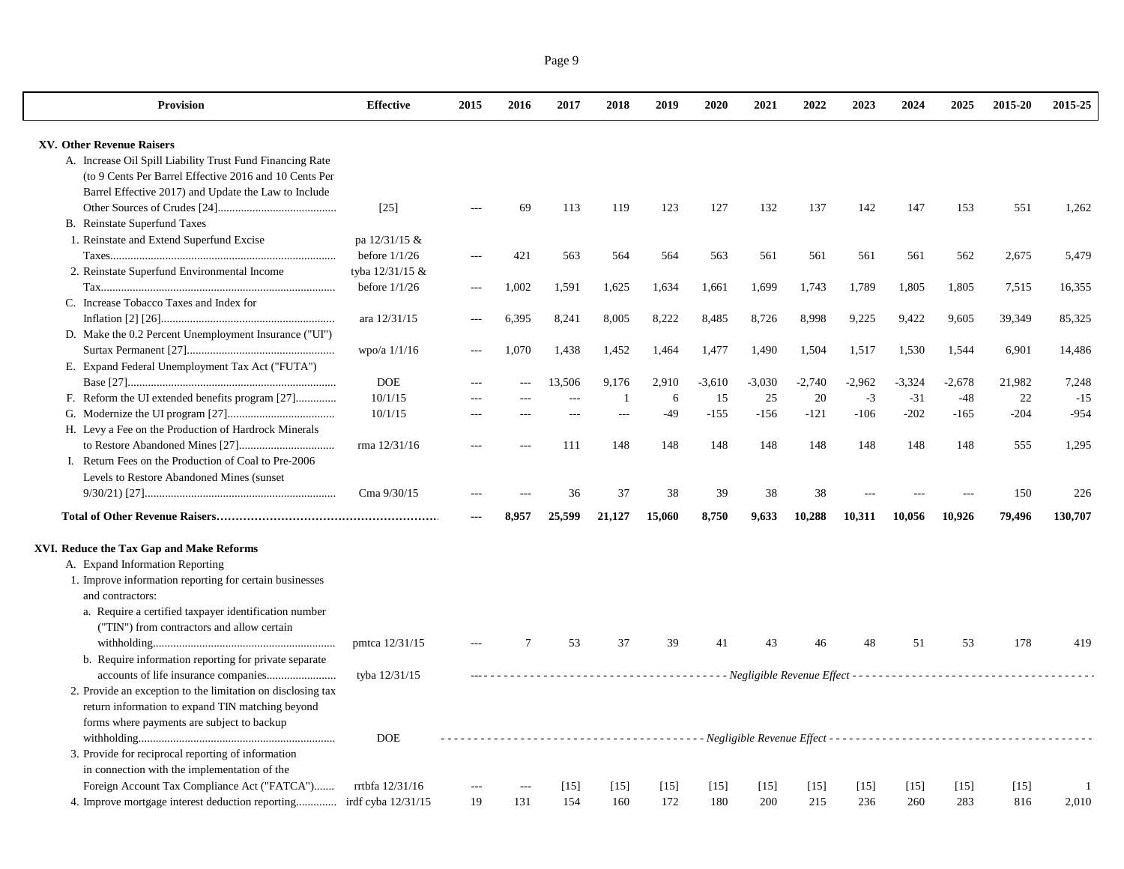| <b>Provision</b>                                                    | Effective       | 2015           | 2016           | 2017   | 2018           | 2019   | 2020     | 2021     | 2022     | 2023     | 2024     | 2025     | 2015-20 | 2015-25        |
|---------------------------------------------------------------------|-----------------|----------------|----------------|--------|----------------|--------|----------|----------|----------|----------|----------|----------|---------|----------------|
| XV. Other Revenue Raisers                                           |                 |                |                |        |                |        |          |          |          |          |          |          |         |                |
| A. Increase Oil Spill Liability Trust Fund Financing Rate           |                 |                |                |        |                |        |          |          |          |          |          |          |         |                |
| (to 9 Cents Per Barrel Effective 2016 and 10 Cents Per              |                 |                |                |        |                |        |          |          |          |          |          |          |         |                |
| Barrel Effective 2017) and Update the Law to Include                |                 |                |                |        |                |        |          |          |          |          |          |          |         |                |
|                                                                     | $[25]$          |                | 69             | 113    | 119            | 123    | 127      | 132      | 137      | 142      | 147      | 153      | 551     | 1,262          |
| B. Reinstate Superfund Taxes                                        |                 |                |                |        |                |        |          |          |          |          |          |          |         |                |
| 1. Reinstate and Extend Superfund Excise                            | pa 12/31/15 &   |                |                |        |                |        |          |          |          |          |          |          |         |                |
|                                                                     | before $1/1/26$ | $\sim$         | 421            | 563    | 564            | 564    | 563      | 561      | 561      | 561      | 561      | 562      | 2,675   | 5,479          |
| 2. Reinstate Superfund Environmental Income                         | tyba 12/31/15 & |                |                |        |                |        |          |          |          |          |          |          |         |                |
|                                                                     | before $1/1/26$ | $\overline{a}$ | 1,002          | 1,591  | 1,625          | 1,634  | 1,661    | 1,699    | 1,743    | 1,789    | 1,805    | 1,805    | 7,515   | 16,355         |
| C. Increase Tobacco Taxes and Index for                             |                 |                |                |        |                |        |          |          |          |          |          |          |         |                |
|                                                                     |                 |                |                |        |                | 8,222  |          |          |          | 9,225    | 9,422    |          | 39,349  | 85,325         |
|                                                                     | ara 12/31/15    |                | 6,395          | 8,241  | 8,005          |        | 8,485    | 8,726    | 8,998    |          |          | 9,605    |         |                |
| D. Make the 0.2 Percent Unemployment Insurance ("UI")               |                 |                |                |        |                |        |          |          |          |          |          |          |         |                |
|                                                                     | wpo/a 1/1/16    |                | 1.070          | 1,438  | 1,452          | 1,464  | 1,477    | 1,490    | 1,504    | 1,517    | 1,530    | 1,544    | 6,901   | 14,486         |
| E. Expand Federal Unemployment Tax Act ("FUTA")                     |                 |                |                |        |                |        |          |          |          |          |          |          |         |                |
|                                                                     | <b>DOE</b>      | $\overline{a}$ | $\overline{a}$ | 13,506 | 9.176          | 2,910  | $-3,610$ | $-3,030$ | $-2,740$ | $-2,962$ | $-3,324$ | $-2,678$ | 21,982  | 7,248          |
| F. Reform the UI extended benefits program [27]                     | 10/1/15         |                |                | $\sim$ | $\overline{1}$ | 6      | 15       | 25       | 20       | $-3$     | $-31$    | $-48$    | 22      | $-15$          |
|                                                                     | 10/1/15         | $---$          | $---$          | ---    | $-$            | $-49$  | $-155$   | $-156$   | $-121$   | $-106$   | $-202$   | $-165$   | $-204$  | $-954$         |
| H. Levy a Fee on the Production of Hardrock Minerals                |                 |                |                |        |                |        |          |          |          |          |          |          |         |                |
|                                                                     | rma 12/31/16    | $-$            | ---            | 111    | 148            | 148    | 148      | 148      | 148      | 148      | 148      | 148      | 555     | 1,295          |
| I. Return Fees on the Production of Coal to Pre-2006                |                 |                |                |        |                |        |          |          |          |          |          |          |         |                |
| Levels to Restore Abandoned Mines (sunset                           |                 |                |                |        |                |        |          |          |          |          |          |          |         |                |
|                                                                     | Cma 9/30/15     |                |                | 36     | 37             | 38     | 39       | 38       | 38       |          |          |          | 150     | 226            |
|                                                                     |                 |                | 8.957          | 25.599 | 21,127         | 15,060 | 8,750    | 9.633    | 10,288   | 10,311   | 10.056   | 10.926   | 79,496  | 130,707        |
| XVI. Reduce the Tax Gap and Make Reforms                            |                 |                |                |        |                |        |          |          |          |          |          |          |         |                |
| A. Expand Information Reporting                                     |                 |                |                |        |                |        |          |          |          |          |          |          |         |                |
| 1. Improve information reporting for certain businesses             |                 |                |                |        |                |        |          |          |          |          |          |          |         |                |
| and contractors:                                                    |                 |                |                |        |                |        |          |          |          |          |          |          |         |                |
| a. Require a certified taxpayer identification number               |                 |                |                |        |                |        |          |          |          |          |          |          |         |                |
| ("TIN") from contractors and allow certain                          |                 |                |                |        |                |        |          |          |          |          |          |          |         |                |
|                                                                     | pmtca 12/31/15  |                |                | 53     | 37             | 39     | 41       | 43       | 46       | 48       | 51       | 53       | 178     | 419            |
| b. Require information reporting for private separate               |                 |                |                |        |                |        |          |          |          |          |          |          |         |                |
|                                                                     | tyba 12/31/15   |                |                |        |                |        |          |          |          |          |          |          |         |                |
| 2. Provide an exception to the limitation on disclosing tax         |                 |                |                |        |                |        |          |          |          |          |          |          |         |                |
| return information to expand TIN matching beyond                    |                 |                |                |        |                |        |          |          |          |          |          |          |         |                |
| forms where payments are subject to backup                          |                 |                |                |        |                |        |          |          |          |          |          |          |         |                |
|                                                                     | <b>DOE</b>      |                |                |        |                |        |          |          |          |          |          |          |         |                |
|                                                                     |                 |                |                |        |                |        |          |          |          |          |          |          |         |                |
| 3. Provide for reciprocal reporting of information                  |                 |                |                |        |                |        |          |          |          |          |          |          |         |                |
| in connection with the implementation of the                        |                 |                |                |        |                |        |          |          |          |          |          |          |         |                |
| Foreign Account Tax Compliance Act ("FATCA")                        | rrtbfa 12/31/16 |                | ---            | [15]   | $[15]$         | $[15]$ | [15]     | $[15]$   | $[15]$   | [15]     | $[15]$   | [15]     | [15]    | $\overline{1}$ |
| 4. Improve mortgage interest deduction reporting irdf cyba 12/31/15 |                 | 19             | 131            | 154    | 160            | 172    | 180      | 200      | 215      | 236      | 260      | 283      | 816     | 2,010          |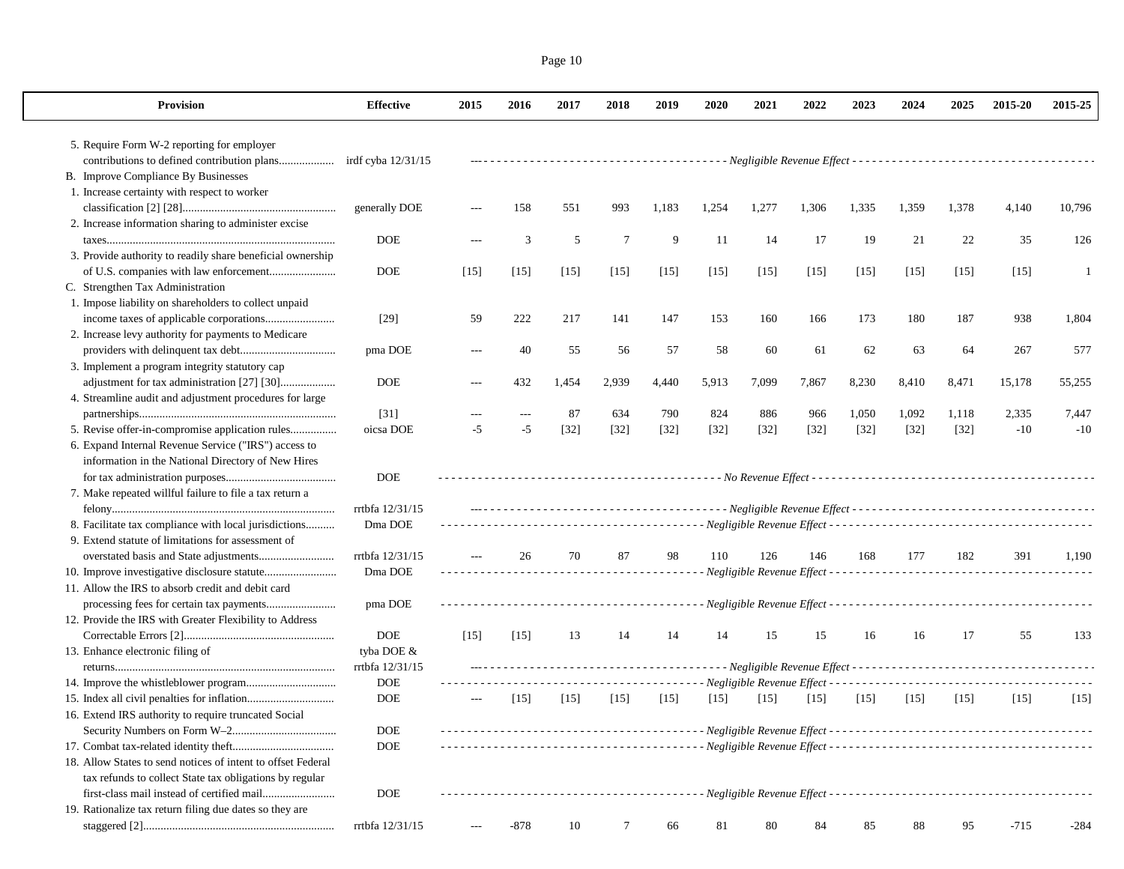| Provision                                                    | <b>Effective</b> | 2015           | 2016   | 2017   | 2018   | 2019   | 2020                                              | 2021   | 2022   | 2023   | 2024   | 2025   | 2015-20 | 2015-25      |
|--------------------------------------------------------------|------------------|----------------|--------|--------|--------|--------|---------------------------------------------------|--------|--------|--------|--------|--------|---------|--------------|
| 5. Require Form W-2 reporting for employer                   |                  |                |        |        |        |        |                                                   |        |        |        |        |        |         |              |
|                                                              |                  |                |        |        |        |        |                                                   |        |        |        |        |        |         |              |
| B. Improve Compliance By Businesses                          |                  |                |        |        |        |        |                                                   |        |        |        |        |        |         |              |
| 1. Increase certainty with respect to worker                 |                  |                |        |        |        |        |                                                   |        |        |        |        |        |         |              |
|                                                              | generally DOE    | $---$          | 158    | 551    | 993    | 1,183  | 1,254                                             | 1,277  | 1,306  | 1,335  | 1,359  | 1,378  | 4,140   | 10,796       |
| 2. Increase information sharing to administer excise         |                  |                |        |        |        |        |                                                   |        |        |        |        |        |         |              |
|                                                              | <b>DOE</b>       |                | 3      | 5      | 7      | 9      | 11                                                | 14     | 17     | 19     | 21     | 22     | 35      | 126          |
| 3. Provide authority to readily share beneficial ownership   |                  |                |        |        |        |        |                                                   |        |        |        |        |        |         |              |
|                                                              | <b>DOE</b>       | $[15]$         | $[15]$ | $[15]$ | [15]   | $[15]$ | $[15]$                                            | $[15]$ | [15]   | $[15]$ | $[15]$ | $[15]$ | $[15]$  | $\mathbf{1}$ |
| C. Strengthen Tax Administration                             |                  |                |        |        |        |        |                                                   |        |        |        |        |        |         |              |
| 1. Impose liability on shareholders to collect unpaid        |                  |                |        |        |        |        |                                                   |        |        |        |        |        |         |              |
| income taxes of applicable corporations                      | $[29]$           | 59             | 222    | 217    | 141    | 147    | 153                                               | 160    | 166    | 173    | 180    | 187    | 938     | 1,804        |
| 2. Increase levy authority for payments to Medicare          |                  |                |        |        |        |        |                                                   |        |        |        |        |        |         |              |
|                                                              | pma DOE          | $---$          | 40     | 55     | 56     | 57     | 58                                                | 60     | 61     | 62     | 63     | 64     | 267     | 577          |
| 3. Implement a program integrity statutory cap               |                  |                |        |        |        |        |                                                   |        |        |        |        |        |         |              |
|                                                              | <b>DOE</b>       | $\overline{a}$ | 432    | 1,454  | 2,939  | 4,440  | 5,913                                             | 7,099  | 7,867  | 8,230  | 8,410  | 8,471  | 15,178  | 55,255       |
| 4. Streamline audit and adjustment procedures for large      |                  |                |        |        |        |        |                                                   |        |        |        |        |        |         |              |
|                                                              | $[31]$           |                | ---    | 87     | 634    | 790    | 824                                               | 886    | 966    | 1,050  | 1,092  | 1,118  | 2,335   | 7,447        |
| 5. Revise offer-in-compromise application rules              | oicsa DOE        | $-5$           | $-5$   | $[32]$ | $[32]$ | $[32]$ | $[32]$                                            | $[32]$ | $[32]$ | $[32]$ | $[32]$ | $[32]$ | $-10$   | $-10$        |
| 6. Expand Internal Revenue Service ("IRS") access to         |                  |                |        |        |        |        |                                                   |        |        |        |        |        |         |              |
| information in the National Directory of New Hires           |                  |                |        |        |        |        |                                                   |        |        |        |        |        |         |              |
|                                                              | <b>DOE</b>       |                |        |        |        |        |                                                   |        |        |        |        |        |         |              |
| 7. Make repeated willful failure to file a tax return a      |                  |                |        |        |        |        |                                                   |        |        |        |        |        |         |              |
|                                                              | rrtbfa 12/31/15  |                |        |        |        |        |                                                   |        |        |        |        |        |         |              |
| 8. Facilitate tax compliance with local jurisdictions        | Dma DOE          |                |        |        |        |        |                                                   |        |        |        |        |        |         |              |
| 9. Extend statute of limitations for assessment of           |                  |                |        |        |        |        |                                                   |        |        |        |        |        |         |              |
|                                                              | rrtbfa 12/31/15  | $---$          | 26     | 70     | 87     | 98     | 110                                               | 126    | 146    | 168    | 177    | 182    | 391     | 1.190        |
|                                                              | Dma DOE          |                |        |        |        |        |                                                   |        |        |        |        |        |         |              |
| 11. Allow the IRS to absorb credit and debit card            |                  |                |        |        |        |        |                                                   |        |        |        |        |        |         |              |
|                                                              | pma DOE          |                |        |        |        |        |                                                   |        |        |        |        |        |         |              |
| 12. Provide the IRS with Greater Flexibility to Address      |                  |                |        |        |        |        |                                                   |        |        |        |        |        |         |              |
|                                                              | <b>DOE</b>       | $[15]$         | $[15]$ | 13     | 14     | 14     | 14                                                | 15     | 15     | 16     | 16     | 17     | 55      | 133          |
| 13. Enhance electronic filing of                             | tyba DOE &       |                |        |        |        |        |                                                   |        |        |        |        |        |         |              |
|                                                              | rrtbfa 12/31/15  |                |        |        |        |        |                                                   |        |        |        |        |        |         |              |
|                                                              | <b>DOE</b>       |                |        |        |        |        | ------- Negligible Revenue Effect --------------- |        |        |        |        |        |         |              |
|                                                              | <b>DOE</b>       | $---$          | $[15]$ | $[15]$ | $[15]$ | $[15]$ | [15]                                              | $[15]$ | $[15]$ | $[15]$ | $[15]$ | $[15]$ | $[15]$  | $[15]$       |
| 16. Extend IRS authority to require truncated Social         |                  |                |        |        |        |        |                                                   |        |        |        |        |        |         |              |
|                                                              | DOE              |                |        |        |        |        |                                                   |        |        |        |        |        |         |              |
|                                                              | <b>DOE</b>       |                |        |        |        |        |                                                   |        |        |        |        |        |         |              |
| 18. Allow States to send notices of intent to offset Federal |                  |                |        |        |        |        |                                                   |        |        |        |        |        |         |              |
| tax refunds to collect State tax obligations by regular      |                  |                |        |        |        |        |                                                   |        |        |        |        |        |         |              |
| 19. Rationalize tax return filing due dates so they are      | <b>DOE</b>       |                |        |        |        |        |                                                   |        |        |        |        |        |         |              |
|                                                              |                  |                |        |        |        |        |                                                   |        |        |        |        |        |         |              |
|                                                              | rrtbfa 12/31/15  | $\cdots$       | -878   | 10     | 7      | 66     | 81                                                | 80     | 84     | 85     | 88     | 95     | $-715$  | -284         |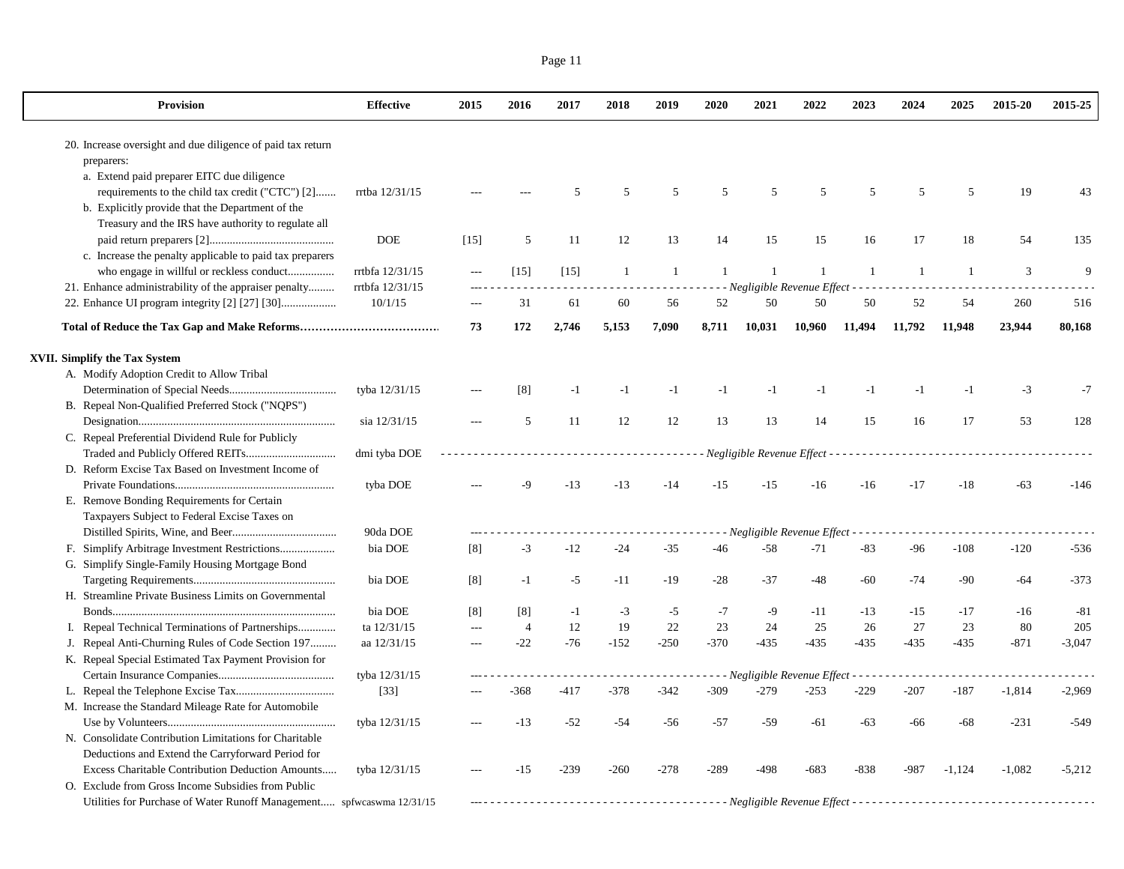| 20. Increase oversight and due diligence of paid tax return<br>preparers:<br>a. Extend paid preparer EITC due diligence<br>requirements to the child tax credit ("CTC") [2]<br>rrtba 12/31/15<br>5<br>5<br>5<br>5<br>5<br>5<br>5<br>19<br>.5<br>5<br>43<br>b. Explicitly provide that the Department of the<br>Treasury and the IRS have authority to regulate all<br><b>DOE</b><br>$[15]$<br>5<br>11<br>12<br>13<br>14<br>15<br>15<br>17<br>18<br>54<br>135<br>16<br>c. Increase the penalty applicable to paid tax preparers<br>who engage in willful or reckless conduct<br>rrtbfa 12/31/15<br>$\mathbf{1}$<br>$\overline{1}$<br>$\mathbf{1}$<br>$\mathbf{1}$<br>$\mathfrak{Z}$<br>9<br>$[15]$<br>$[15]$<br>1<br>$\overline{1}$<br>-1<br>-1<br>$\overline{a}$<br>21. Enhance administrability of the appraiser penalty<br>rrtbfa 12/31/15<br>- - Negligible Revenue Effect - - - - -<br>22. Enhance UI program integrity [2] [27] [30]<br>10/1/15<br>31<br>60<br>52<br>50<br>50<br>50<br>52<br>61<br>56<br>54<br>260<br>516<br>73<br>172<br>2,746<br>5,153<br>7,090<br>8,711<br>10,031<br>10,960<br>11,494<br>11,792<br>11.948<br>23,944<br>80,168<br>XVII. Simplify the Tax System<br>A. Modify Adoption Credit to Allow Tribal<br>tyba 12/31/15<br>[8]<br>$-1$<br>$-1$<br>$-1$<br>$-1$<br>$-3$<br>$-1$<br>$-1$<br>$-1$<br>$-1$<br>$-1$<br>$-7$<br>B. Repeal Non-Qualified Preferred Stock ("NQPS")<br>11<br>12<br>13<br>14<br>17<br>53<br>sia 12/31/15<br>5<br>12<br>13<br>15<br>16<br>128<br>C. Repeal Preferential Dividend Rule for Publicly<br>dmi tyba DOE<br>Negligible Revenue Effect -<br>D. Reform Excise Tax Based on Investment Income of<br>$-13$<br>$-15$<br>$-15$<br>$-18$<br>tyba DOE<br>-9<br>$-13$<br>$-14$<br>$-16$<br>$-16$<br>$-17$<br>$-63$<br>$-146$<br>E. Remove Bonding Requirements for Certain<br>Taxpayers Subject to Federal Excise Taxes on<br>90da DOE<br>- Negligible Revenue Effect<br>bia DOE<br>$-12$<br>$-58$<br>$-71$<br>$-83$<br>[8]<br>$-3$<br>$-24$<br>$-35$<br>$-46$<br>$-96$<br>$-108$<br>$-120$<br>$-536$<br>G. Simplify Single-Family Housing Mortgage Bond<br>bia DOE<br>$-5$<br>$-28$<br>$-37$<br>$-60$<br>$-74$<br>$-90$<br>$-373$<br>[8]<br>$-1$<br>$-11$<br>-19<br>-48<br>$-64$<br>H. Streamline Private Business Limits on Governmental<br>bia DOE<br>$-3$<br>$-7$<br>$-9$<br>$-17$<br>[8]<br>[8]<br>$-1$<br>$-5$<br>$-11$<br>$-13$<br>$-15$<br>$-16$<br>$-81$<br>22<br>23<br>ta 12/31/15<br>12<br>19<br>24<br>25<br>26<br>27<br>23<br>80<br>205<br>Repeal Technical Terminations of Partnerships<br>$\overline{4}$<br>I.<br>---<br>$-76$<br>$-152$<br>$-370$<br>$-435$<br>J. Repeal Anti-Churning Rules of Code Section 197<br>aa 12/31/15<br>$-22$<br>$-250$<br>$-435$<br>$-435$<br>$-435$<br>$-435$<br>$-871$<br>$-3,047$<br>$\overline{a}$<br>K. Repeal Special Estimated Tax Payment Provision for<br>tyba 12/31/15<br>- - - Negligible Revenue Effect - - - - - -<br>$- - -$<br>$- - - - - -$<br>$-279$<br>$[33]$<br>$-417$<br>-378<br>$-342$<br>$-309$<br>$-253$<br>$-229$<br>$-207$<br>$-187$<br>$-368$<br>$-1,814$<br>$-2,969$<br>M. Increase the Standard Mileage Rate for Automobile<br>$-59$<br>tyba 12/31/15<br>$-13$<br>$-52$<br>-54<br>$-56$<br>$-57$<br>$-61$<br>$-63$<br>-66<br>$-68$<br>-231<br>$-549$<br>N. Consolidate Contribution Limitations for Charitable<br>Deductions and Extend the Carryforward Period for<br>$-239$<br>Excess Charitable Contribution Deduction Amounts<br>tyba 12/31/15<br>$-260$<br>$-278$<br>$-289$<br>$-498$<br>$-683$<br>$-838$<br>$-987$<br>$-1,124$<br>$-1,082$<br>$-5,212$<br>$-15$<br>O. Exclude from Gross Income Subsidies from Public<br>Utilities for Purchase of Water Runoff Management spfwcaswma 12/31/15 | <b>Provision</b> | <b>Effective</b> | 2015 | 2016 | 2017 | 2018 | 2019 | 2020 | 2021 | 2022 | 2023 | 2024 | 2025 | 2015-20 | 2015-25 |
|--------------------------------------------------------------------------------------------------------------------------------------------------------------------------------------------------------------------------------------------------------------------------------------------------------------------------------------------------------------------------------------------------------------------------------------------------------------------------------------------------------------------------------------------------------------------------------------------------------------------------------------------------------------------------------------------------------------------------------------------------------------------------------------------------------------------------------------------------------------------------------------------------------------------------------------------------------------------------------------------------------------------------------------------------------------------------------------------------------------------------------------------------------------------------------------------------------------------------------------------------------------------------------------------------------------------------------------------------------------------------------------------------------------------------------------------------------------------------------------------------------------------------------------------------------------------------------------------------------------------------------------------------------------------------------------------------------------------------------------------------------------------------------------------------------------------------------------------------------------------------------------------------------------------------------------------------------------------------------------------------------------------------------------------------------------------------------------------------------------------------------------------------------------------------------------------------------------------------------------------------------------------------------------------------------------------------------------------------------------------------------------------------------------------------------------------------------------------------------------------------------------------------------------------------------------------------------------------------------------------------------------------------------------------------------------------------------------------------------------------------------------------------------------------------------------------------------------------------------------------------------------------------------------------------------------------------------------------------------------------------------------------------------------------------------------------------------------------------------------------------------------------------------------------------------------------------------------------------------------------------------------------------------------------------------------------------------------------------------------------------------------------------------------------------------------------------------------------------------------------------------------------------------------------------------------------------------------------------------------------------------------------------------------------------------------------------------------------------------|------------------|------------------|------|------|------|------|------|------|------|------|------|------|------|---------|---------|
|                                                                                                                                                                                                                                                                                                                                                                                                                                                                                                                                                                                                                                                                                                                                                                                                                                                                                                                                                                                                                                                                                                                                                                                                                                                                                                                                                                                                                                                                                                                                                                                                                                                                                                                                                                                                                                                                                                                                                                                                                                                                                                                                                                                                                                                                                                                                                                                                                                                                                                                                                                                                                                                                                                                                                                                                                                                                                                                                                                                                                                                                                                                                                                                                                                                                                                                                                                                                                                                                                                                                                                                                                                                                                                                                |                  |                  |      |      |      |      |      |      |      |      |      |      |      |         |         |
|                                                                                                                                                                                                                                                                                                                                                                                                                                                                                                                                                                                                                                                                                                                                                                                                                                                                                                                                                                                                                                                                                                                                                                                                                                                                                                                                                                                                                                                                                                                                                                                                                                                                                                                                                                                                                                                                                                                                                                                                                                                                                                                                                                                                                                                                                                                                                                                                                                                                                                                                                                                                                                                                                                                                                                                                                                                                                                                                                                                                                                                                                                                                                                                                                                                                                                                                                                                                                                                                                                                                                                                                                                                                                                                                |                  |                  |      |      |      |      |      |      |      |      |      |      |      |         |         |
|                                                                                                                                                                                                                                                                                                                                                                                                                                                                                                                                                                                                                                                                                                                                                                                                                                                                                                                                                                                                                                                                                                                                                                                                                                                                                                                                                                                                                                                                                                                                                                                                                                                                                                                                                                                                                                                                                                                                                                                                                                                                                                                                                                                                                                                                                                                                                                                                                                                                                                                                                                                                                                                                                                                                                                                                                                                                                                                                                                                                                                                                                                                                                                                                                                                                                                                                                                                                                                                                                                                                                                                                                                                                                                                                |                  |                  |      |      |      |      |      |      |      |      |      |      |      |         |         |
|                                                                                                                                                                                                                                                                                                                                                                                                                                                                                                                                                                                                                                                                                                                                                                                                                                                                                                                                                                                                                                                                                                                                                                                                                                                                                                                                                                                                                                                                                                                                                                                                                                                                                                                                                                                                                                                                                                                                                                                                                                                                                                                                                                                                                                                                                                                                                                                                                                                                                                                                                                                                                                                                                                                                                                                                                                                                                                                                                                                                                                                                                                                                                                                                                                                                                                                                                                                                                                                                                                                                                                                                                                                                                                                                |                  |                  |      |      |      |      |      |      |      |      |      |      |      |         |         |
|                                                                                                                                                                                                                                                                                                                                                                                                                                                                                                                                                                                                                                                                                                                                                                                                                                                                                                                                                                                                                                                                                                                                                                                                                                                                                                                                                                                                                                                                                                                                                                                                                                                                                                                                                                                                                                                                                                                                                                                                                                                                                                                                                                                                                                                                                                                                                                                                                                                                                                                                                                                                                                                                                                                                                                                                                                                                                                                                                                                                                                                                                                                                                                                                                                                                                                                                                                                                                                                                                                                                                                                                                                                                                                                                |                  |                  |      |      |      |      |      |      |      |      |      |      |      |         |         |
|                                                                                                                                                                                                                                                                                                                                                                                                                                                                                                                                                                                                                                                                                                                                                                                                                                                                                                                                                                                                                                                                                                                                                                                                                                                                                                                                                                                                                                                                                                                                                                                                                                                                                                                                                                                                                                                                                                                                                                                                                                                                                                                                                                                                                                                                                                                                                                                                                                                                                                                                                                                                                                                                                                                                                                                                                                                                                                                                                                                                                                                                                                                                                                                                                                                                                                                                                                                                                                                                                                                                                                                                                                                                                                                                |                  |                  |      |      |      |      |      |      |      |      |      |      |      |         |         |
|                                                                                                                                                                                                                                                                                                                                                                                                                                                                                                                                                                                                                                                                                                                                                                                                                                                                                                                                                                                                                                                                                                                                                                                                                                                                                                                                                                                                                                                                                                                                                                                                                                                                                                                                                                                                                                                                                                                                                                                                                                                                                                                                                                                                                                                                                                                                                                                                                                                                                                                                                                                                                                                                                                                                                                                                                                                                                                                                                                                                                                                                                                                                                                                                                                                                                                                                                                                                                                                                                                                                                                                                                                                                                                                                |                  |                  |      |      |      |      |      |      |      |      |      |      |      |         |         |
|                                                                                                                                                                                                                                                                                                                                                                                                                                                                                                                                                                                                                                                                                                                                                                                                                                                                                                                                                                                                                                                                                                                                                                                                                                                                                                                                                                                                                                                                                                                                                                                                                                                                                                                                                                                                                                                                                                                                                                                                                                                                                                                                                                                                                                                                                                                                                                                                                                                                                                                                                                                                                                                                                                                                                                                                                                                                                                                                                                                                                                                                                                                                                                                                                                                                                                                                                                                                                                                                                                                                                                                                                                                                                                                                |                  |                  |      |      |      |      |      |      |      |      |      |      |      |         |         |
|                                                                                                                                                                                                                                                                                                                                                                                                                                                                                                                                                                                                                                                                                                                                                                                                                                                                                                                                                                                                                                                                                                                                                                                                                                                                                                                                                                                                                                                                                                                                                                                                                                                                                                                                                                                                                                                                                                                                                                                                                                                                                                                                                                                                                                                                                                                                                                                                                                                                                                                                                                                                                                                                                                                                                                                                                                                                                                                                                                                                                                                                                                                                                                                                                                                                                                                                                                                                                                                                                                                                                                                                                                                                                                                                |                  |                  |      |      |      |      |      |      |      |      |      |      |      |         |         |
|                                                                                                                                                                                                                                                                                                                                                                                                                                                                                                                                                                                                                                                                                                                                                                                                                                                                                                                                                                                                                                                                                                                                                                                                                                                                                                                                                                                                                                                                                                                                                                                                                                                                                                                                                                                                                                                                                                                                                                                                                                                                                                                                                                                                                                                                                                                                                                                                                                                                                                                                                                                                                                                                                                                                                                                                                                                                                                                                                                                                                                                                                                                                                                                                                                                                                                                                                                                                                                                                                                                                                                                                                                                                                                                                |                  |                  |      |      |      |      |      |      |      |      |      |      |      |         |         |
|                                                                                                                                                                                                                                                                                                                                                                                                                                                                                                                                                                                                                                                                                                                                                                                                                                                                                                                                                                                                                                                                                                                                                                                                                                                                                                                                                                                                                                                                                                                                                                                                                                                                                                                                                                                                                                                                                                                                                                                                                                                                                                                                                                                                                                                                                                                                                                                                                                                                                                                                                                                                                                                                                                                                                                                                                                                                                                                                                                                                                                                                                                                                                                                                                                                                                                                                                                                                                                                                                                                                                                                                                                                                                                                                |                  |                  |      |      |      |      |      |      |      |      |      |      |      |         |         |
|                                                                                                                                                                                                                                                                                                                                                                                                                                                                                                                                                                                                                                                                                                                                                                                                                                                                                                                                                                                                                                                                                                                                                                                                                                                                                                                                                                                                                                                                                                                                                                                                                                                                                                                                                                                                                                                                                                                                                                                                                                                                                                                                                                                                                                                                                                                                                                                                                                                                                                                                                                                                                                                                                                                                                                                                                                                                                                                                                                                                                                                                                                                                                                                                                                                                                                                                                                                                                                                                                                                                                                                                                                                                                                                                |                  |                  |      |      |      |      |      |      |      |      |      |      |      |         |         |
|                                                                                                                                                                                                                                                                                                                                                                                                                                                                                                                                                                                                                                                                                                                                                                                                                                                                                                                                                                                                                                                                                                                                                                                                                                                                                                                                                                                                                                                                                                                                                                                                                                                                                                                                                                                                                                                                                                                                                                                                                                                                                                                                                                                                                                                                                                                                                                                                                                                                                                                                                                                                                                                                                                                                                                                                                                                                                                                                                                                                                                                                                                                                                                                                                                                                                                                                                                                                                                                                                                                                                                                                                                                                                                                                |                  |                  |      |      |      |      |      |      |      |      |      |      |      |         |         |
|                                                                                                                                                                                                                                                                                                                                                                                                                                                                                                                                                                                                                                                                                                                                                                                                                                                                                                                                                                                                                                                                                                                                                                                                                                                                                                                                                                                                                                                                                                                                                                                                                                                                                                                                                                                                                                                                                                                                                                                                                                                                                                                                                                                                                                                                                                                                                                                                                                                                                                                                                                                                                                                                                                                                                                                                                                                                                                                                                                                                                                                                                                                                                                                                                                                                                                                                                                                                                                                                                                                                                                                                                                                                                                                                |                  |                  |      |      |      |      |      |      |      |      |      |      |      |         |         |
|                                                                                                                                                                                                                                                                                                                                                                                                                                                                                                                                                                                                                                                                                                                                                                                                                                                                                                                                                                                                                                                                                                                                                                                                                                                                                                                                                                                                                                                                                                                                                                                                                                                                                                                                                                                                                                                                                                                                                                                                                                                                                                                                                                                                                                                                                                                                                                                                                                                                                                                                                                                                                                                                                                                                                                                                                                                                                                                                                                                                                                                                                                                                                                                                                                                                                                                                                                                                                                                                                                                                                                                                                                                                                                                                |                  |                  |      |      |      |      |      |      |      |      |      |      |      |         |         |
|                                                                                                                                                                                                                                                                                                                                                                                                                                                                                                                                                                                                                                                                                                                                                                                                                                                                                                                                                                                                                                                                                                                                                                                                                                                                                                                                                                                                                                                                                                                                                                                                                                                                                                                                                                                                                                                                                                                                                                                                                                                                                                                                                                                                                                                                                                                                                                                                                                                                                                                                                                                                                                                                                                                                                                                                                                                                                                                                                                                                                                                                                                                                                                                                                                                                                                                                                                                                                                                                                                                                                                                                                                                                                                                                |                  |                  |      |      |      |      |      |      |      |      |      |      |      |         |         |
|                                                                                                                                                                                                                                                                                                                                                                                                                                                                                                                                                                                                                                                                                                                                                                                                                                                                                                                                                                                                                                                                                                                                                                                                                                                                                                                                                                                                                                                                                                                                                                                                                                                                                                                                                                                                                                                                                                                                                                                                                                                                                                                                                                                                                                                                                                                                                                                                                                                                                                                                                                                                                                                                                                                                                                                                                                                                                                                                                                                                                                                                                                                                                                                                                                                                                                                                                                                                                                                                                                                                                                                                                                                                                                                                |                  |                  |      |      |      |      |      |      |      |      |      |      |      |         |         |
|                                                                                                                                                                                                                                                                                                                                                                                                                                                                                                                                                                                                                                                                                                                                                                                                                                                                                                                                                                                                                                                                                                                                                                                                                                                                                                                                                                                                                                                                                                                                                                                                                                                                                                                                                                                                                                                                                                                                                                                                                                                                                                                                                                                                                                                                                                                                                                                                                                                                                                                                                                                                                                                                                                                                                                                                                                                                                                                                                                                                                                                                                                                                                                                                                                                                                                                                                                                                                                                                                                                                                                                                                                                                                                                                |                  |                  |      |      |      |      |      |      |      |      |      |      |      |         |         |
|                                                                                                                                                                                                                                                                                                                                                                                                                                                                                                                                                                                                                                                                                                                                                                                                                                                                                                                                                                                                                                                                                                                                                                                                                                                                                                                                                                                                                                                                                                                                                                                                                                                                                                                                                                                                                                                                                                                                                                                                                                                                                                                                                                                                                                                                                                                                                                                                                                                                                                                                                                                                                                                                                                                                                                                                                                                                                                                                                                                                                                                                                                                                                                                                                                                                                                                                                                                                                                                                                                                                                                                                                                                                                                                                |                  |                  |      |      |      |      |      |      |      |      |      |      |      |         |         |
|                                                                                                                                                                                                                                                                                                                                                                                                                                                                                                                                                                                                                                                                                                                                                                                                                                                                                                                                                                                                                                                                                                                                                                                                                                                                                                                                                                                                                                                                                                                                                                                                                                                                                                                                                                                                                                                                                                                                                                                                                                                                                                                                                                                                                                                                                                                                                                                                                                                                                                                                                                                                                                                                                                                                                                                                                                                                                                                                                                                                                                                                                                                                                                                                                                                                                                                                                                                                                                                                                                                                                                                                                                                                                                                                |                  |                  |      |      |      |      |      |      |      |      |      |      |      |         |         |
|                                                                                                                                                                                                                                                                                                                                                                                                                                                                                                                                                                                                                                                                                                                                                                                                                                                                                                                                                                                                                                                                                                                                                                                                                                                                                                                                                                                                                                                                                                                                                                                                                                                                                                                                                                                                                                                                                                                                                                                                                                                                                                                                                                                                                                                                                                                                                                                                                                                                                                                                                                                                                                                                                                                                                                                                                                                                                                                                                                                                                                                                                                                                                                                                                                                                                                                                                                                                                                                                                                                                                                                                                                                                                                                                |                  |                  |      |      |      |      |      |      |      |      |      |      |      |         |         |
|                                                                                                                                                                                                                                                                                                                                                                                                                                                                                                                                                                                                                                                                                                                                                                                                                                                                                                                                                                                                                                                                                                                                                                                                                                                                                                                                                                                                                                                                                                                                                                                                                                                                                                                                                                                                                                                                                                                                                                                                                                                                                                                                                                                                                                                                                                                                                                                                                                                                                                                                                                                                                                                                                                                                                                                                                                                                                                                                                                                                                                                                                                                                                                                                                                                                                                                                                                                                                                                                                                                                                                                                                                                                                                                                |                  |                  |      |      |      |      |      |      |      |      |      |      |      |         |         |
|                                                                                                                                                                                                                                                                                                                                                                                                                                                                                                                                                                                                                                                                                                                                                                                                                                                                                                                                                                                                                                                                                                                                                                                                                                                                                                                                                                                                                                                                                                                                                                                                                                                                                                                                                                                                                                                                                                                                                                                                                                                                                                                                                                                                                                                                                                                                                                                                                                                                                                                                                                                                                                                                                                                                                                                                                                                                                                                                                                                                                                                                                                                                                                                                                                                                                                                                                                                                                                                                                                                                                                                                                                                                                                                                |                  |                  |      |      |      |      |      |      |      |      |      |      |      |         |         |
|                                                                                                                                                                                                                                                                                                                                                                                                                                                                                                                                                                                                                                                                                                                                                                                                                                                                                                                                                                                                                                                                                                                                                                                                                                                                                                                                                                                                                                                                                                                                                                                                                                                                                                                                                                                                                                                                                                                                                                                                                                                                                                                                                                                                                                                                                                                                                                                                                                                                                                                                                                                                                                                                                                                                                                                                                                                                                                                                                                                                                                                                                                                                                                                                                                                                                                                                                                                                                                                                                                                                                                                                                                                                                                                                |                  |                  |      |      |      |      |      |      |      |      |      |      |      |         |         |
|                                                                                                                                                                                                                                                                                                                                                                                                                                                                                                                                                                                                                                                                                                                                                                                                                                                                                                                                                                                                                                                                                                                                                                                                                                                                                                                                                                                                                                                                                                                                                                                                                                                                                                                                                                                                                                                                                                                                                                                                                                                                                                                                                                                                                                                                                                                                                                                                                                                                                                                                                                                                                                                                                                                                                                                                                                                                                                                                                                                                                                                                                                                                                                                                                                                                                                                                                                                                                                                                                                                                                                                                                                                                                                                                |                  |                  |      |      |      |      |      |      |      |      |      |      |      |         |         |
|                                                                                                                                                                                                                                                                                                                                                                                                                                                                                                                                                                                                                                                                                                                                                                                                                                                                                                                                                                                                                                                                                                                                                                                                                                                                                                                                                                                                                                                                                                                                                                                                                                                                                                                                                                                                                                                                                                                                                                                                                                                                                                                                                                                                                                                                                                                                                                                                                                                                                                                                                                                                                                                                                                                                                                                                                                                                                                                                                                                                                                                                                                                                                                                                                                                                                                                                                                                                                                                                                                                                                                                                                                                                                                                                |                  |                  |      |      |      |      |      |      |      |      |      |      |      |         |         |
|                                                                                                                                                                                                                                                                                                                                                                                                                                                                                                                                                                                                                                                                                                                                                                                                                                                                                                                                                                                                                                                                                                                                                                                                                                                                                                                                                                                                                                                                                                                                                                                                                                                                                                                                                                                                                                                                                                                                                                                                                                                                                                                                                                                                                                                                                                                                                                                                                                                                                                                                                                                                                                                                                                                                                                                                                                                                                                                                                                                                                                                                                                                                                                                                                                                                                                                                                                                                                                                                                                                                                                                                                                                                                                                                |                  |                  |      |      |      |      |      |      |      |      |      |      |      |         |         |
|                                                                                                                                                                                                                                                                                                                                                                                                                                                                                                                                                                                                                                                                                                                                                                                                                                                                                                                                                                                                                                                                                                                                                                                                                                                                                                                                                                                                                                                                                                                                                                                                                                                                                                                                                                                                                                                                                                                                                                                                                                                                                                                                                                                                                                                                                                                                                                                                                                                                                                                                                                                                                                                                                                                                                                                                                                                                                                                                                                                                                                                                                                                                                                                                                                                                                                                                                                                                                                                                                                                                                                                                                                                                                                                                |                  |                  |      |      |      |      |      |      |      |      |      |      |      |         |         |
|                                                                                                                                                                                                                                                                                                                                                                                                                                                                                                                                                                                                                                                                                                                                                                                                                                                                                                                                                                                                                                                                                                                                                                                                                                                                                                                                                                                                                                                                                                                                                                                                                                                                                                                                                                                                                                                                                                                                                                                                                                                                                                                                                                                                                                                                                                                                                                                                                                                                                                                                                                                                                                                                                                                                                                                                                                                                                                                                                                                                                                                                                                                                                                                                                                                                                                                                                                                                                                                                                                                                                                                                                                                                                                                                |                  |                  |      |      |      |      |      |      |      |      |      |      |      |         |         |
|                                                                                                                                                                                                                                                                                                                                                                                                                                                                                                                                                                                                                                                                                                                                                                                                                                                                                                                                                                                                                                                                                                                                                                                                                                                                                                                                                                                                                                                                                                                                                                                                                                                                                                                                                                                                                                                                                                                                                                                                                                                                                                                                                                                                                                                                                                                                                                                                                                                                                                                                                                                                                                                                                                                                                                                                                                                                                                                                                                                                                                                                                                                                                                                                                                                                                                                                                                                                                                                                                                                                                                                                                                                                                                                                |                  |                  |      |      |      |      |      |      |      |      |      |      |      |         |         |
|                                                                                                                                                                                                                                                                                                                                                                                                                                                                                                                                                                                                                                                                                                                                                                                                                                                                                                                                                                                                                                                                                                                                                                                                                                                                                                                                                                                                                                                                                                                                                                                                                                                                                                                                                                                                                                                                                                                                                                                                                                                                                                                                                                                                                                                                                                                                                                                                                                                                                                                                                                                                                                                                                                                                                                                                                                                                                                                                                                                                                                                                                                                                                                                                                                                                                                                                                                                                                                                                                                                                                                                                                                                                                                                                |                  |                  |      |      |      |      |      |      |      |      |      |      |      |         |         |
|                                                                                                                                                                                                                                                                                                                                                                                                                                                                                                                                                                                                                                                                                                                                                                                                                                                                                                                                                                                                                                                                                                                                                                                                                                                                                                                                                                                                                                                                                                                                                                                                                                                                                                                                                                                                                                                                                                                                                                                                                                                                                                                                                                                                                                                                                                                                                                                                                                                                                                                                                                                                                                                                                                                                                                                                                                                                                                                                                                                                                                                                                                                                                                                                                                                                                                                                                                                                                                                                                                                                                                                                                                                                                                                                |                  |                  |      |      |      |      |      |      |      |      |      |      |      |         |         |
|                                                                                                                                                                                                                                                                                                                                                                                                                                                                                                                                                                                                                                                                                                                                                                                                                                                                                                                                                                                                                                                                                                                                                                                                                                                                                                                                                                                                                                                                                                                                                                                                                                                                                                                                                                                                                                                                                                                                                                                                                                                                                                                                                                                                                                                                                                                                                                                                                                                                                                                                                                                                                                                                                                                                                                                                                                                                                                                                                                                                                                                                                                                                                                                                                                                                                                                                                                                                                                                                                                                                                                                                                                                                                                                                |                  |                  |      |      |      |      |      |      |      |      |      |      |      |         |         |
|                                                                                                                                                                                                                                                                                                                                                                                                                                                                                                                                                                                                                                                                                                                                                                                                                                                                                                                                                                                                                                                                                                                                                                                                                                                                                                                                                                                                                                                                                                                                                                                                                                                                                                                                                                                                                                                                                                                                                                                                                                                                                                                                                                                                                                                                                                                                                                                                                                                                                                                                                                                                                                                                                                                                                                                                                                                                                                                                                                                                                                                                                                                                                                                                                                                                                                                                                                                                                                                                                                                                                                                                                                                                                                                                |                  |                  |      |      |      |      |      |      |      |      |      |      |      |         |         |
|                                                                                                                                                                                                                                                                                                                                                                                                                                                                                                                                                                                                                                                                                                                                                                                                                                                                                                                                                                                                                                                                                                                                                                                                                                                                                                                                                                                                                                                                                                                                                                                                                                                                                                                                                                                                                                                                                                                                                                                                                                                                                                                                                                                                                                                                                                                                                                                                                                                                                                                                                                                                                                                                                                                                                                                                                                                                                                                                                                                                                                                                                                                                                                                                                                                                                                                                                                                                                                                                                                                                                                                                                                                                                                                                |                  |                  |      |      |      |      |      |      |      |      |      |      |      |         |         |
|                                                                                                                                                                                                                                                                                                                                                                                                                                                                                                                                                                                                                                                                                                                                                                                                                                                                                                                                                                                                                                                                                                                                                                                                                                                                                                                                                                                                                                                                                                                                                                                                                                                                                                                                                                                                                                                                                                                                                                                                                                                                                                                                                                                                                                                                                                                                                                                                                                                                                                                                                                                                                                                                                                                                                                                                                                                                                                                                                                                                                                                                                                                                                                                                                                                                                                                                                                                                                                                                                                                                                                                                                                                                                                                                |                  |                  |      |      |      |      |      |      |      |      |      |      |      |         |         |
|                                                                                                                                                                                                                                                                                                                                                                                                                                                                                                                                                                                                                                                                                                                                                                                                                                                                                                                                                                                                                                                                                                                                                                                                                                                                                                                                                                                                                                                                                                                                                                                                                                                                                                                                                                                                                                                                                                                                                                                                                                                                                                                                                                                                                                                                                                                                                                                                                                                                                                                                                                                                                                                                                                                                                                                                                                                                                                                                                                                                                                                                                                                                                                                                                                                                                                                                                                                                                                                                                                                                                                                                                                                                                                                                |                  |                  |      |      |      |      |      |      |      |      |      |      |      |         |         |
|                                                                                                                                                                                                                                                                                                                                                                                                                                                                                                                                                                                                                                                                                                                                                                                                                                                                                                                                                                                                                                                                                                                                                                                                                                                                                                                                                                                                                                                                                                                                                                                                                                                                                                                                                                                                                                                                                                                                                                                                                                                                                                                                                                                                                                                                                                                                                                                                                                                                                                                                                                                                                                                                                                                                                                                                                                                                                                                                                                                                                                                                                                                                                                                                                                                                                                                                                                                                                                                                                                                                                                                                                                                                                                                                |                  |                  |      |      |      |      |      |      |      |      |      |      |      |         |         |
|                                                                                                                                                                                                                                                                                                                                                                                                                                                                                                                                                                                                                                                                                                                                                                                                                                                                                                                                                                                                                                                                                                                                                                                                                                                                                                                                                                                                                                                                                                                                                                                                                                                                                                                                                                                                                                                                                                                                                                                                                                                                                                                                                                                                                                                                                                                                                                                                                                                                                                                                                                                                                                                                                                                                                                                                                                                                                                                                                                                                                                                                                                                                                                                                                                                                                                                                                                                                                                                                                                                                                                                                                                                                                                                                |                  |                  |      |      |      |      |      |      |      |      |      |      |      |         |         |
|                                                                                                                                                                                                                                                                                                                                                                                                                                                                                                                                                                                                                                                                                                                                                                                                                                                                                                                                                                                                                                                                                                                                                                                                                                                                                                                                                                                                                                                                                                                                                                                                                                                                                                                                                                                                                                                                                                                                                                                                                                                                                                                                                                                                                                                                                                                                                                                                                                                                                                                                                                                                                                                                                                                                                                                                                                                                                                                                                                                                                                                                                                                                                                                                                                                                                                                                                                                                                                                                                                                                                                                                                                                                                                                                |                  |                  |      |      |      |      |      |      |      |      |      |      |      |         |         |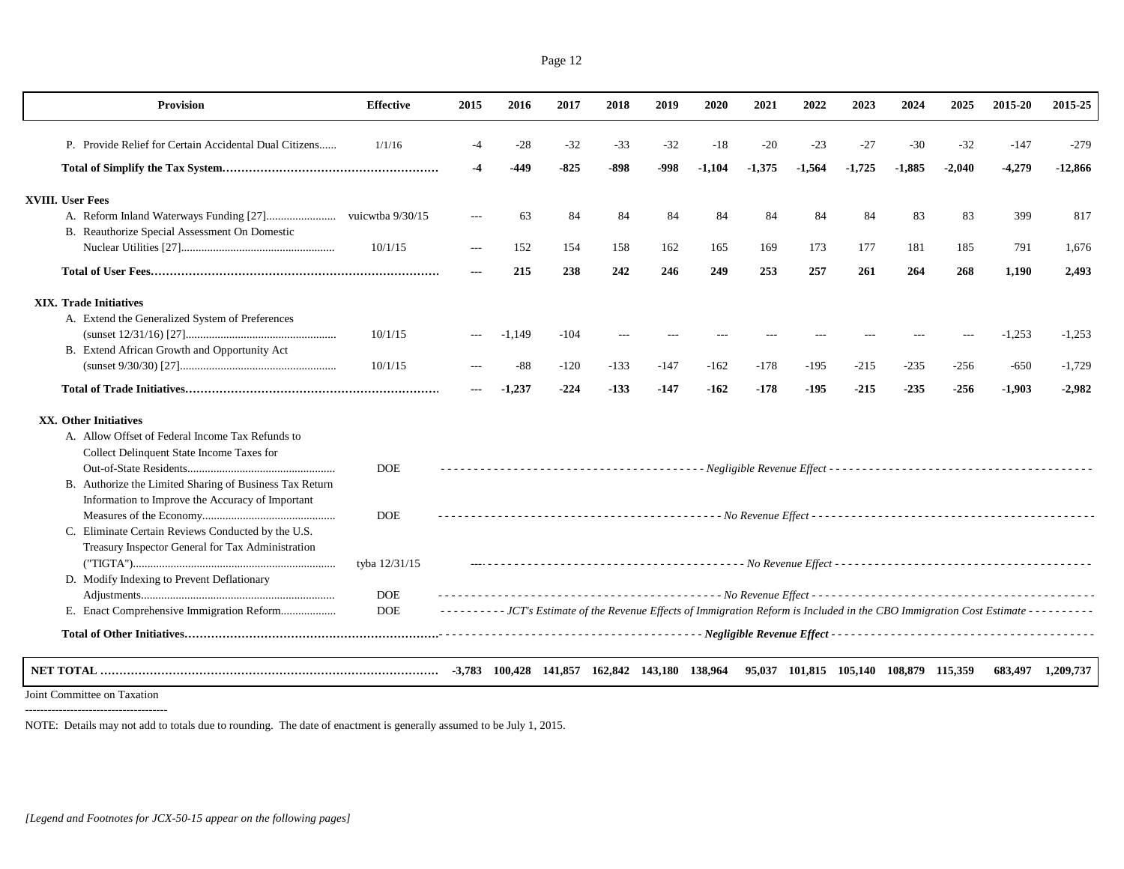| <b>Provision</b>                                                                                            | <b>Effective</b> | 2015 | 2016     | 2017   | 2018   | 2019   | 2020     | 2021     | 2022                                   | 2023     | 2024     | 2025   | 2015-20                                                                                                                         | 2015-25           |
|-------------------------------------------------------------------------------------------------------------|------------------|------|----------|--------|--------|--------|----------|----------|----------------------------------------|----------|----------|--------|---------------------------------------------------------------------------------------------------------------------------------|-------------------|
| P. Provide Relief for Certain Accidental Dual Citizens                                                      | 1/1/16           | $-4$ | $-28$    | $-32$  | $-33$  | $-32$  | $-18$    | $-20$    | $-23$                                  | $-27$    | $-30$    | $-32$  | $-147$                                                                                                                          | $-279$            |
|                                                                                                             |                  | -4   | -449     | $-825$ | -898   | -998   | $-1,104$ | $-1,375$ | $-1,564$                               | $-1,725$ | $-1,885$ | -2,040 | $-4,279$                                                                                                                        | -12,866           |
| <b>XVIII.</b> User Fees                                                                                     |                  |      |          |        |        |        |          |          |                                        |          |          |        |                                                                                                                                 |                   |
| B. Reauthorize Special Assessment On Domestic                                                               |                  |      | 63       | 84     | 84     | 84     | 84       | 84       | 84                                     | 84       | 83       | 83     | 399                                                                                                                             | 817               |
|                                                                                                             | 10/1/15          |      | 152      | 154    | 158    | 162    | 165      | 169      | 173                                    | 177      | 181      | 185    | 791                                                                                                                             | 1.676             |
|                                                                                                             |                  | $--$ | 215      | 238    | 242    | 246    | 249      | 253      | 257                                    | 261      | 264      | 268    | 1,190                                                                                                                           | 2,493             |
| <b>XIX.</b> Trade Initiatives                                                                               |                  |      |          |        |        |        |          |          |                                        |          |          |        |                                                                                                                                 |                   |
| A. Extend the Generalized System of Preferences                                                             | 10/1/15          |      | $-1,149$ | $-104$ |        |        |          |          |                                        |          |          |        | $-1,253$                                                                                                                        | $-1,253$          |
| B. Extend African Growth and Opportunity Act                                                                | 10/1/15          |      | $-88$    | $-120$ | $-133$ | $-147$ | $-162$   | $-178$   | $-195$                                 | $-215$   | $-235$   | $-256$ | $-650$                                                                                                                          | $-1,729$          |
|                                                                                                             |                  |      | $-1,237$ | $-224$ | -133   | $-147$ | $-162$   | $-178$   | $-195$                                 | $-215$   | $-235$   | $-256$ | -1,903                                                                                                                          | $-2,982$          |
| XX. Other Initiatives                                                                                       |                  |      |          |        |        |        |          |          |                                        |          |          |        |                                                                                                                                 |                   |
| A. Allow Offset of Federal Income Tax Refunds to<br>Collect Delinquent State Income Taxes for               | <b>DOE</b>       |      |          |        |        |        |          |          |                                        |          |          |        |                                                                                                                                 |                   |
| B. Authorize the Limited Sharing of Business Tax Return<br>Information to Improve the Accuracy of Important |                  |      |          |        |        |        |          |          |                                        |          |          |        |                                                                                                                                 |                   |
| C. Eliminate Certain Reviews Conducted by the U.S.<br>Treasury Inspector General for Tax Administration     | <b>DOE</b>       |      |          |        |        |        |          |          |                                        |          |          |        |                                                                                                                                 |                   |
| D. Modify Indexing to Prevent Deflationary                                                                  | tyba 12/31/15    |      |          |        |        |        |          |          |                                        |          |          |        |                                                                                                                                 |                   |
|                                                                                                             | <b>DOE</b>       |      |          |        |        |        |          |          |                                        |          |          |        |                                                                                                                                 |                   |
| E. Enact Comprehensive Immigration Reform                                                                   | <b>DOE</b>       |      |          |        |        |        |          |          |                                        |          |          |        | -------- JCT's Estimate of the Revenue Effects of Immigration Reform is Included in the CBO Immigration Cost Estimate --------- |                   |
|                                                                                                             |                  |      |          |        |        |        |          |          |                                        |          |          |        |                                                                                                                                 |                   |
|                                                                                                             |                  |      |          |        |        |        |          |          | 95,037 101,815 105,140 108,879 115,359 |          |          |        |                                                                                                                                 | 683,497 1,209,737 |

Joint Committee on Taxation --------------------------------------

NOTE: Details may not add to totals due to rounding. The date of enactment is generally assumed to be July 1, 2015.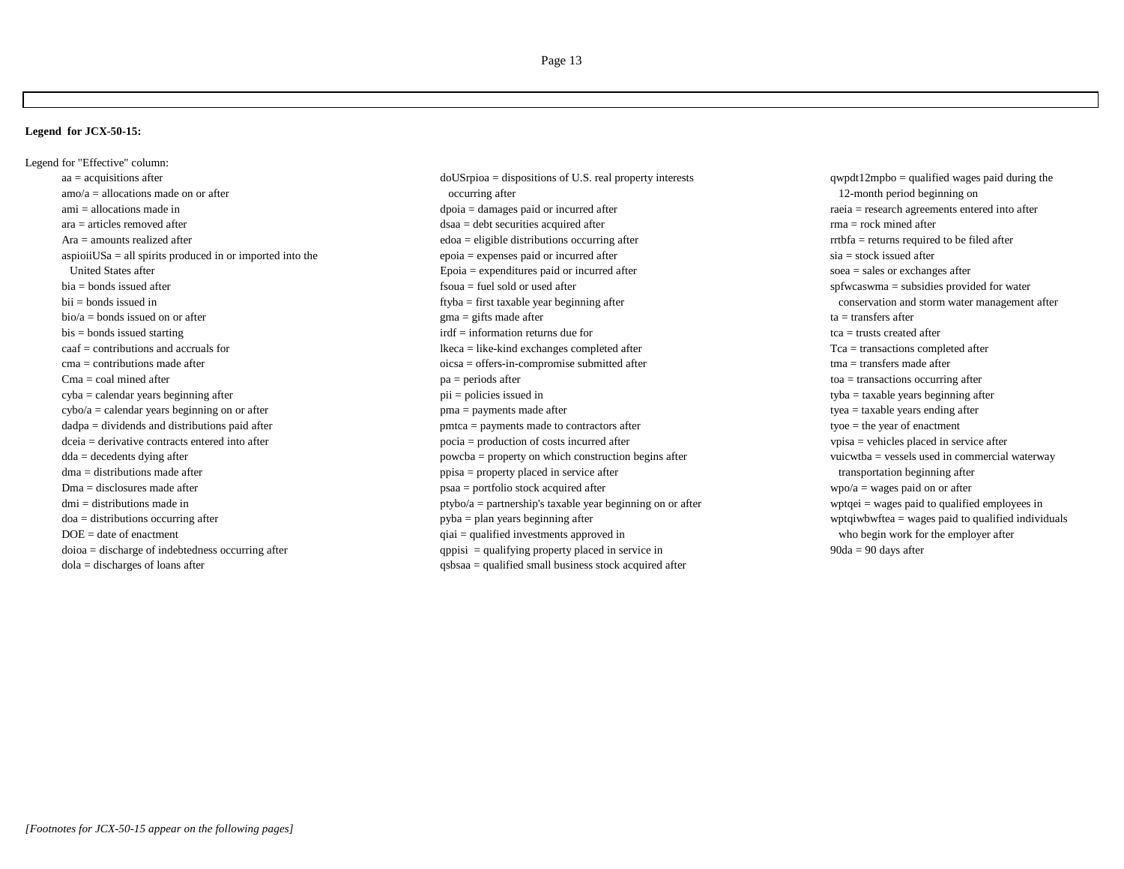## **Legend for JCX-50-15:**

Legend for "Effective" column: dmi = distributions made indola = discharges of loans after  $q$ sbsaa = qualified small business stock acquired after

aa = acquisitions after dously and acquisitions of U.S. real property interests qwpdt12mpbo = qualified wages paid during the amo/a = allocations made on or after occurring after occurring after a security and the set of the set of the set of the set of the set of the set of the set of the set of the set of the set of the set of the set of the se ami = allocations made in dpoia = damages paid or incurred after defined after and the raeia = research agreements entered into after ara = articles removed after dsaa = debt securities acquired after rma = rock mined after Ara = amounts realized after endicated after endicated after edoa = eligible distributions occurring after endicated rrtbfa = returns required to be filed after aspioiiUSa = all spirits produced in or imported into the epoia = expenses paid or incurred after sia = stock issued after United States after Epoia = expenditures paid or incurred after soea = sales or exchanges after bia = bonds issued after spfwcaswma = subsidies provided for water spfwcaswma = subsidies provided for water spfwcaswma = subsidies provided for water bii = bonds issued in the first taxable year beginning after conservation and storm water management after conservation and storm water management after bio/a = bonds issued on or after example after gma = gifts made after ta = transfers after ta = transfers after bis = bonds issued starting the starting information returns due for tca = trusts created after tca = trusts created after caaf = contributions and accruals for **lkeca** = like-kind exchanges completed after Tca = transactions completed after cma = contributions made after  $\frac{1}{2}$  oicsa = offers-in-compromise submitted after tma = transfers made after Cma = coal mined after toa = transactions occurring after toa = transactions occurring after toa = transactions occurring after cyba = calendar years beginning after example after pii = policies issued in tyba = taxable years beginning after cybo/a = calendar years beginning on or after pma = payments made after tyea = taxable years ending after tyea = taxable years ending after dadpa = dividends and distributions paid after paid after pmtca = payments made to contractors after tyoe = the year of enactment dceia = derivative contracts entered into after pocia = production of costs incurred after vpisa = vehicles placed in service after dda = decedents dying after examples after property on which construction begins after which waterway vuicwtba = vessels used in commercial waterway dma = distributions made after example after ppisa = property placed in service after transportation beginning after  $Dma =$  disclosures made after  $psa =$  portfolio stock acquired after  $psa =$  portfolio stock acquired after  $pso/a =$  wages paid on or after ptybo/a = partnership's taxable year beginning on or after where we wptqei = wages paid to qualified employees in doa = distributions occurring after example after pyba = plan years beginning after wptqiwbwftea = wages paid to qualified individuals DOE = date of enactment who begin work for the employer after qualified investments approved in who begin work for the employer after  $d$ oioa = discharge of indebtedness occurring after  $q$  appisi = qualifying property placed in service in 90da = 90 days after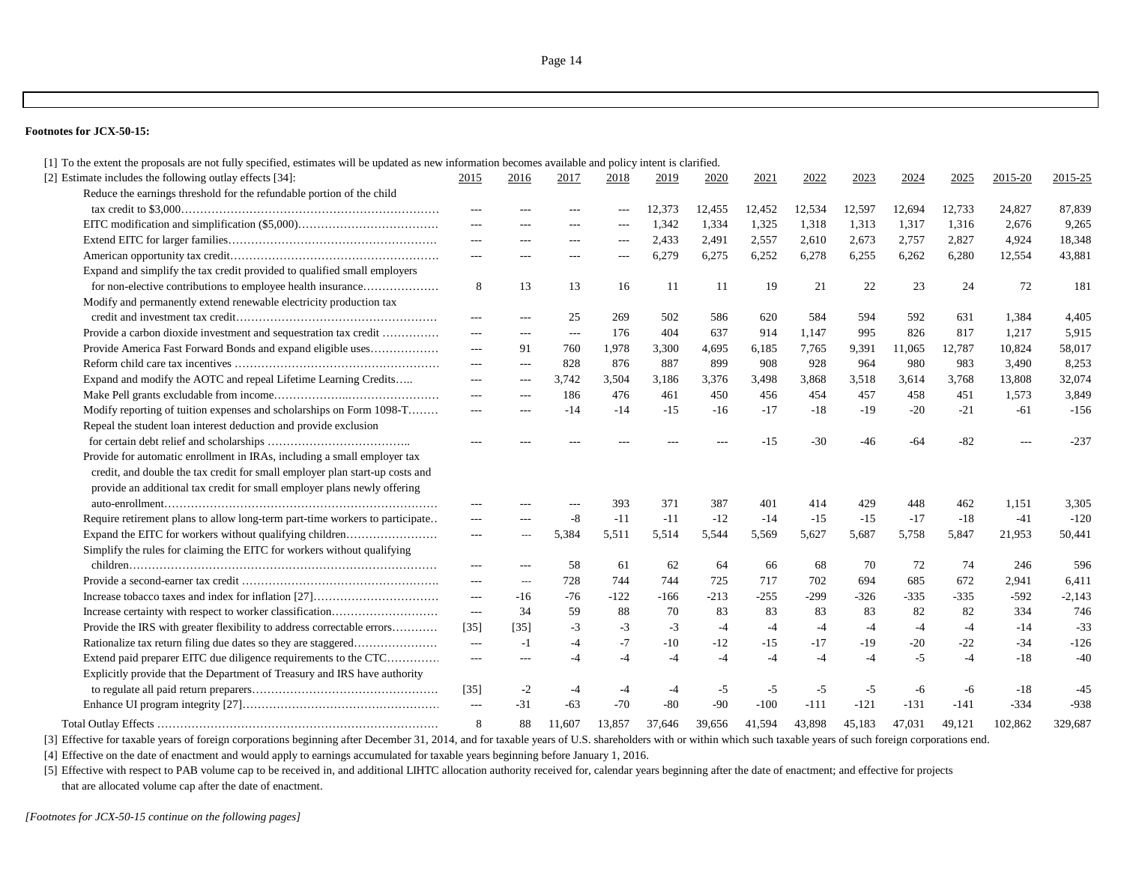### **Footnotes for JCX-50-15:**

| [1] To the extent the proposals are not fully specified, estimates will be updated as new information becomes available and policy intent is clarified. |                          |                |        |        |        |        |        |        |        |        |        |         |          |
|---------------------------------------------------------------------------------------------------------------------------------------------------------|--------------------------|----------------|--------|--------|--------|--------|--------|--------|--------|--------|--------|---------|----------|
| [2] Estimate includes the following outlay effects [34]:                                                                                                | 2015                     | 2016           | 2017   | 2018   | 2019   | 2020   | 2021   | 2022   | 2023   | 2024   | 2025   | 2015-20 | 2015-25  |
| Reduce the earnings threshold for the refundable portion of the child                                                                                   |                          |                |        |        |        |        |        |        |        |        |        |         |          |
|                                                                                                                                                         | $---$                    | ---            |        |        | 12,373 | 12,455 | 12,452 | 12,534 | 12,597 | 12,694 | 12,733 | 24,827  | 87,839   |
|                                                                                                                                                         | $---$                    | $---$          | ---    | ---    | 1,342  | 1,334  | 1,325  | 1,318  | 1,313  | 1,317  | 1,316  | 2,676   | 9.265    |
|                                                                                                                                                         | $---$                    | $---$          | $---$  | $---$  | 2,433  | 2,491  | 2,557  | 2,610  | 2,673  | 2,757  | 2,827  | 4,924   | 18,348   |
|                                                                                                                                                         | $\cdots$                 | $---$          | ---    | $---$  | 6,279  | 6,275  | 6,252  | 6,278  | 6,255  | 6,262  | 6,280  | 12,554  | 43,881   |
| Expand and simplify the tax credit provided to qualified small employers                                                                                |                          |                |        |        |        |        |        |        |        |        |        |         |          |
| for non-elective contributions to employee health insurance                                                                                             | 8                        | 13             | 13     | 16     | -11    | -11    | 19     | 21     | 22     | 23     | 24     | 72      | 181      |
| Modify and permanently extend renewable electricity production tax                                                                                      |                          |                |        |        |        |        |        |        |        |        |        |         |          |
|                                                                                                                                                         | $---$                    | $---$          | 25     | 269    | 502    | 586    | 620    | 584    | 594    | 592    | 631    | 1,384   | 4,405    |
| Provide a carbon dioxide investment and sequestration tax credit                                                                                        | $---$                    | $---$          | $---$  | 176    | 404    | 637    | 914    | 1,147  | 995    | 826    | 817    | 1,217   | 5,915    |
| Provide America Fast Forward Bonds and expand eligible uses                                                                                             | $---$                    | 91             | 760    | 1,978  | 3,300  | 4,695  | 6,185  | 7,765  | 9,391  | 11,065 | 12,787 | 10,824  | 58,017   |
|                                                                                                                                                         | $---$                    | $---$          | 828    | 876    | 887    | 899    | 908    | 928    | 964    | 980    | 983    | 3,490   | 8,253    |
| Expand and modify the AOTC and repeal Lifetime Learning Credits                                                                                         | $---$                    | $---$          | 3,742  | 3,504  | 3,186  | 3,376  | 3,498  | 3,868  | 3,518  | 3,614  | 3,768  | 13,808  | 32,074   |
|                                                                                                                                                         | $---$                    | $---$          | 186    | 476    | 461    | 450    | 456    | 454    | 457    | 458    | 451    | 1,573   | 3,849    |
| Modify reporting of tuition expenses and scholarships on Form 1098-T                                                                                    | $---$                    | $---$          | $-14$  | $-14$  | $-15$  | $-16$  | $-17$  | $-18$  | $-19$  | $-20$  | $-21$  | $-61$   | $-156$   |
| Repeal the student loan interest deduction and provide exclusion                                                                                        |                          |                |        |        |        |        |        |        |        |        |        |         |          |
|                                                                                                                                                         |                          |                |        |        |        |        | -15    | $-30$  | -46    | $-64$  | $-82$  |         | $-237$   |
| Provide for automatic enrollment in IRAs, including a small employer tax                                                                                |                          |                |        |        |        |        |        |        |        |        |        |         |          |
| credit, and double the tax credit for small employer plan start-up costs and                                                                            |                          |                |        |        |        |        |        |        |        |        |        |         |          |
| provide an additional tax credit for small employer plans newly offering                                                                                |                          |                |        |        |        |        |        |        |        |        |        |         |          |
|                                                                                                                                                         | ---                      | ---            | $---$  | 393    | 371    | 387    | 401    | 414    | 429    | 448    | 462    | 1,151   | 3,305    |
| Require retirement plans to allow long-term part-time workers to participate                                                                            | ---                      | ---            | $-8$   | $-11$  | $-11$  | $-12$  | $-14$  | $-15$  | $-15$  | $-17$  | $-18$  | $-41$   | $-120$   |
| Expand the EITC for workers without qualifying children                                                                                                 | ---                      | $\overline{a}$ | 5,384  | 5,511  | 5,514  | 5,544  | 5,569  | 5,627  | 5,687  | 5,758  | 5,847  | 21,953  | 50,441   |
| Simplify the rules for claiming the EITC for workers without qualifying                                                                                 |                          |                |        |        |        |        |        |        |        |        |        |         |          |
|                                                                                                                                                         | $---$                    | $---$          | 58     | 61     | 62     | 64     | 66     | 68     | 70     | 72     | 74     | 246     | 596      |
|                                                                                                                                                         | $---$                    | $---$          | 728    | 744    | 744    | 725    | 717    | 702    | 694    | 685    | 672    | 2,941   | 6,411    |
|                                                                                                                                                         | $\overline{a}$           | $-16$          | $-76$  | $-122$ | $-166$ | $-213$ | $-255$ | $-299$ | $-326$ | $-335$ | $-335$ | $-592$  | $-2,143$ |
|                                                                                                                                                         | $---$                    | 34             | 59     | 88     | 70     | 83     | 83     | 83     | 83     | 82     | 82     | 334     | 746      |
| Provide the IRS with greater flexibility to address correctable errors                                                                                  | $[35]$                   | $[35]$         | $-3$   | $-3$   | $-3$   | $-4$   | $-4$   | $-4$   | $-4$   | $-4$   | $-4$   | -14     | $-33$    |
| Rationalize tax return filing due dates so they are staggered                                                                                           | $\overline{\phantom{a}}$ | $-1$           | $-4$   | $-7$   | $-10$  | $-12$  | $-15$  | $-17$  | $-19$  | $-20$  | $-22$  | $-34$   | $-126$   |
| Extend paid preparer EITC due diligence requirements to the CTC                                                                                         | $---$                    | $---$          | $-4$   | $-4$   | $-4$   | $-4$   | $-4$   | $-4$   | $-4$   | $-5$   | -4     | $-18$   | $-40$    |
| Explicitly provide that the Department of Treasury and IRS have authority                                                                               |                          |                |        |        |        |        |        |        |        |        |        |         |          |
|                                                                                                                                                         | $\left[35\right]$        | $-2$           | $-4$   | $-4$   | -4     | $-5$   | $-5$   | $-5$   | $-5$   | -6     | -6     | $-18$   | $-45$    |
|                                                                                                                                                         | $\overline{\phantom{a}}$ | $-31$          | -63    | $-70$  | $-80$  | $-90$  | $-100$ | -111   | $-121$ | $-131$ | $-141$ | $-334$  | $-938$   |
|                                                                                                                                                         | 8                        | 88             | 11.607 | 13.857 | 37.646 | 39,656 | 41.594 | 43,898 | 45.183 | 47.031 | 49.121 | 102.862 | 329,687  |
|                                                                                                                                                         |                          |                |        |        |        |        |        |        |        |        |        |         |          |

[3] Effective for taxable years of foreign corporations beginning after December 31, 2014, and for taxable years of U.S. shareholders with or within which such taxable years of such foreign corporations end.

[4] Effective on the date of enactment and would apply to earnings accumulated for taxable years beginning before January 1, 2016.

[5] Effective with respect to PAB volume cap to be received in, and additional LIHTC allocation authority received for, calendar years beginning after the date of enactment; and effective for projects that are allocated volume cap after the date of enactment.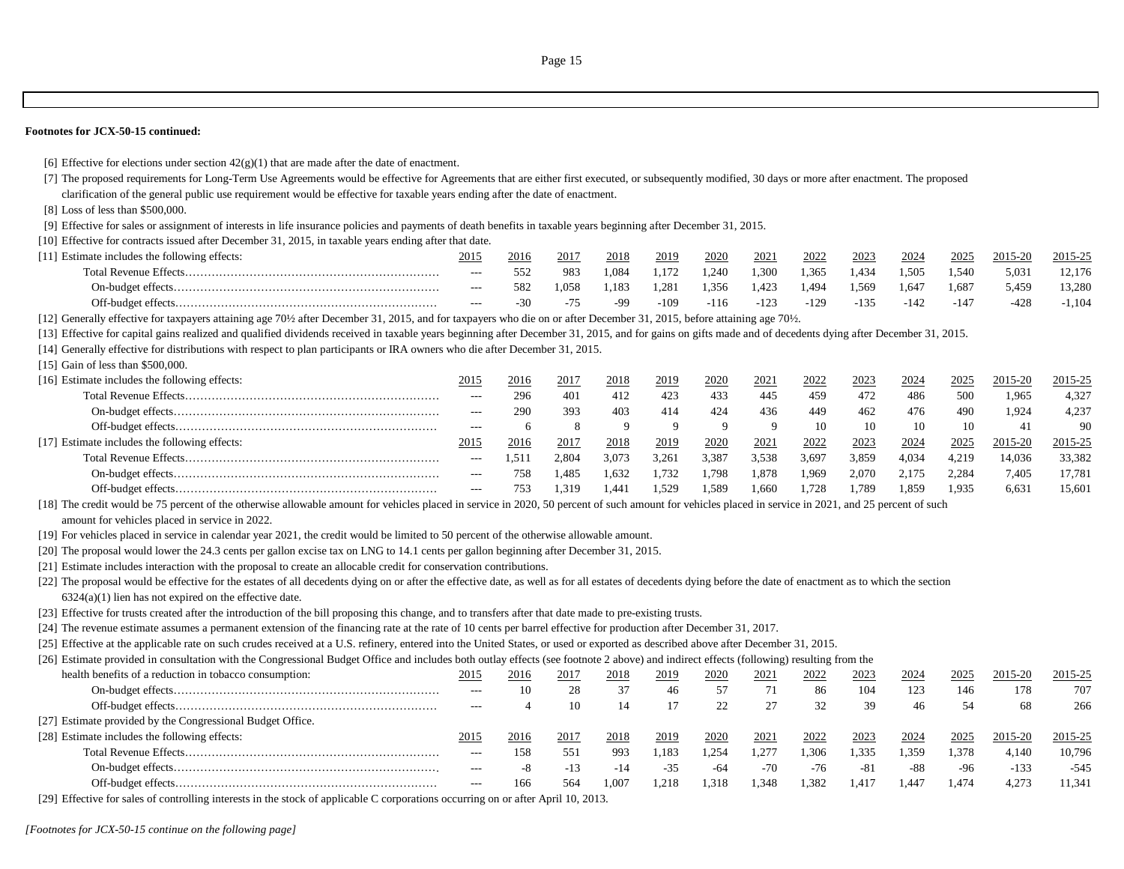#### **Footnotes for JCX-50-15 continued:**

[6] Effective for elections under section  $42(g)(1)$  that are made after the date of enactment.

[7] The proposed requirements for Long-Term Use Agreements would be effective for Agreements that are either first executed, or subsequently modified, 30 days or more after enactment. The proposed clarification of the general public use requirement would be effective for taxable years ending after the date of enactment.

[8] Loss of less than \$500,000.

[9] Effective for sales or assignment of interests in life insurance policies and payments of death benefits in taxable years beginning after December 31, 2015.

[10] Effective for contracts issued after December 31, 2015, in taxable years ending after that date.

| [11] Estimate includes the following effects: | 2015    | 2016 | 2017 | 2018  | 2019   | 2020   | 2021   | 2022   | 2023   | 2024   | 2025   | 2015-20 | 2015-25  |
|-----------------------------------------------|---------|------|------|-------|--------|--------|--------|--------|--------|--------|--------|---------|----------|
|                                               | $- - -$ |      | 983  | . 084 | .172   | 1.240  | 1.300  | 1.365  | 1.434  | 1,505  | 1.540  | 5,031   | 12.176   |
|                                               | ----    |      | .058 | .183  | 1.281  | 1,356  | 1,423  | 1.494  | 1,569  | 1.647  | 1.687  | 5.459   | 13,280   |
|                                               | $---$   | -30  |      | -99   | $-109$ | $-116$ | $-123$ | $-129$ | $-135$ | $-142$ | $-147$ | $-428$  | $-1.104$ |

[12] Generally effective for taxpayers attaining age 70½ after December 31, 2015, and for taxpayers who die on or after December 31, 2015, before attaining age 70½.

[13] Effective for capital gains realized and qualified dividends received in taxable years beginning after December 31, 2015, and for gains on gifts made and of decedents dying after December 31, 2015.

[14] Generally effective for distributions with respect to plan participants or IRA owners who die after December 31, 2015.

[15] Gain of less than \$500,000.

| [16] Estimate includes the following effects: | 201   | <u> 2016</u> | $201^{\circ}$ | <u> 2018</u> | 2019   | <u>2020</u> | 2021  | 2022  | <u>2023</u> | <u>2024</u> | 2025  | 2015-20 | 2015-25 |
|-----------------------------------------------|-------|--------------|---------------|--------------|--------|-------------|-------|-------|-------------|-------------|-------|---------|---------|
|                                               | $---$ | 296          | 401           | 412          |        | 433         | 445   | 459   | 472         | 486         | 500   | 1.965   | 4.327   |
|                                               | $---$ | 290          | 393           | 403          |        | 424         | 436   | 449   | 462         | 476         | 490   | 1.924   | 4.237   |
|                                               | $---$ |              |               |              |        |             | ്ധ    |       |             | 10          | 10    | -41     | 90      |
| [17] Estimate includes the following effects: | 2015  | 2016         | $201^{\circ}$ | 2018         | 2019   | 2020        | 2021  | 2022  | 2023        | 2024        | 2025  | 2015-20 | 2015-25 |
|                                               | $---$ | .51          | 2.804         | 3.073        | 3,261  | 3.387       | 3.538 | 3.697 | 3,859       | 4.034       | 4.219 | 14.036  | 33.382  |
|                                               | $---$ | 758          | 1.485         | 1.632        | 1.732  | 1.798       | l.878 | .969  | 2.070       | 2.175       | 2.284 | 7.405   | 17.781  |
|                                               | $---$ | 753          | .319          | . 44'        | . .529 | 1,589       | . 660 | . 728 | 1.789       | 1.859       | 1.935 | 6.631   | 15.601  |

[18] The credit would be 75 percent of the otherwise allowable amount for vehicles placed in service in 2020, 50 percent of such amount for vehicles placed in service in 2021, and 25 percent of such amount for vehicles placed in service in 2022.

[19] For vehicles placed in service in calendar year 2021, the credit would be limited to 50 percent of the otherwise allowable amount.

[20] The proposal would lower the 24.3 cents per gallon excise tax on LNG to 14.1 cents per gallon beginning after December 31, 2015.

[21] Estimate includes interaction with the proposal to create an allocable credit for conservation contributions.

[22] The proposal would be effective for the estates of all decedents dying on or after the effective date, as well as for all estates of decedents dying before the date of enactment as to which the section  $6324(a)(1)$  lien has not expired on the effective date.

[23] Effective for trusts created after the introduction of the bill proposing this change, and to transfers after that date made to pre-existing trusts.

[24] The revenue estimate assumes a permanent extension of the financing rate at the rate of 10 cents per barrel effective for production after December 31, 2017.

[25] Effective at the applicable rate on such crudes received at a U.S. refinery, entered into the United States, or used or exported as described above after December 31, 2015.

[26] Estimate provided in consultation with the Congressional Budget Office and includes both outlay effects (see footnote 2 above) and indirect effects (following) resulting from the

| health benefits of a reduction in tobacco consumption:     | 2015  | 2016 | 2017 | 2018  | 2019  | 2020 | 2021  | 2022  | 2023  | 2024  | 2025  | 2015-20 | 2015-25 |
|------------------------------------------------------------|-------|------|------|-------|-------|------|-------|-------|-------|-------|-------|---------|---------|
|                                                            |       |      |      |       |       | 57   |       | 86    | 104   | 123   | 146   | 178     | 707     |
|                                                            | $---$ |      | 10   | 14    |       |      |       | 32    | 39    | 46    |       | 68      | 266     |
| [27] Estimate provided by the Congressional Budget Office. |       |      |      |       |       |      |       |       |       |       |       |         |         |
| [28] Estimate includes the following effects:              | 2015  | 2016 | 2017 | 2018  | 2019  | 2020 | 2021  | 2022  | 2023  | 2024  | 2025  | 2015-20 | 2015-25 |
|                                                            |       | 158  | 551  | 993   | . 183 | .254 | .277  | .306  | 1.335 | 1.359 | l.378 | 4.140   | 10.796  |
|                                                            | $---$ |      |      |       | $-35$ | -64  | $-70$ | $-76$ | -81   | -88   | $-96$ | $-133$  | $-545$  |
|                                                            | $---$ | 166  | 564  | 1.007 | 1.218 | .318 | .348  | .382  | 1.417 | 1.447 | 1.474 | 4.273   | 11.341  |
|                                                            |       |      |      |       |       |      |       |       |       |       |       |         |         |

[29] Effective for sales of controlling interests in the stock of applicable C corporations occurring on or after April 10, 2013.